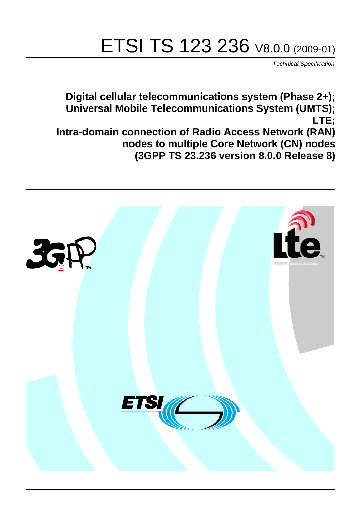# ETSI TS 123 236 V8.0.0 (2009-01)

*Technical Specification*

**Digital cellular telecommunications system (Phase 2+); Universal Mobile Telecommunications System (UMTS); LTE; Intra-domain connection of Radio Access Network (RAN) nodes to multiple Core Network (CN) nodes (3GPP TS 23.236 version 8.0.0 Release 8)**

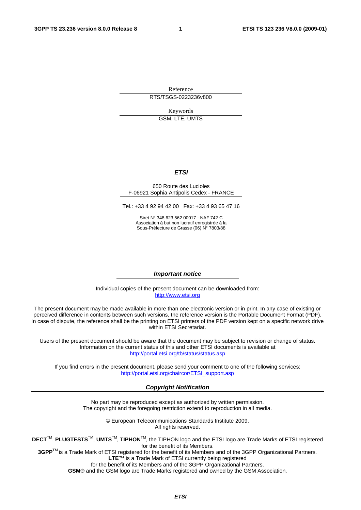Reference RTS/TSGS-0223236v800

Keywords

GSM, LTE, UMTS

#### *ETSI*

#### 650 Route des Lucioles F-06921 Sophia Antipolis Cedex - FRANCE

Tel.: +33 4 92 94 42 00 Fax: +33 4 93 65 47 16

Siret N° 348 623 562 00017 - NAF 742 C Association à but non lucratif enregistrée à la Sous-Préfecture de Grasse (06) N° 7803/88

#### *Important notice*

Individual copies of the present document can be downloaded from: [http://www.etsi.org](http://www.etsi.org/)

The present document may be made available in more than one electronic version or in print. In any case of existing or perceived difference in contents between such versions, the reference version is the Portable Document Format (PDF). In case of dispute, the reference shall be the printing on ETSI printers of the PDF version kept on a specific network drive within ETSI Secretariat.

Users of the present document should be aware that the document may be subject to revision or change of status. Information on the current status of this and other ETSI documents is available at <http://portal.etsi.org/tb/status/status.asp>

If you find errors in the present document, please send your comment to one of the following services: [http://portal.etsi.org/chaircor/ETSI\\_support.asp](http://portal.etsi.org/chaircor/ETSI_support.asp)

#### *Copyright Notification*

No part may be reproduced except as authorized by written permission. The copyright and the foregoing restriction extend to reproduction in all media.

> © European Telecommunications Standards Institute 2009. All rights reserved.

**DECT**TM, **PLUGTESTS**TM, **UMTS**TM, **TIPHON**TM, the TIPHON logo and the ETSI logo are Trade Marks of ETSI registered for the benefit of its Members.

**3GPP**TM is a Trade Mark of ETSI registered for the benefit of its Members and of the 3GPP Organizational Partners. **LTE**™ is a Trade Mark of ETSI currently being registered

for the benefit of its Members and of the 3GPP Organizational Partners.

**GSM**® and the GSM logo are Trade Marks registered and owned by the GSM Association.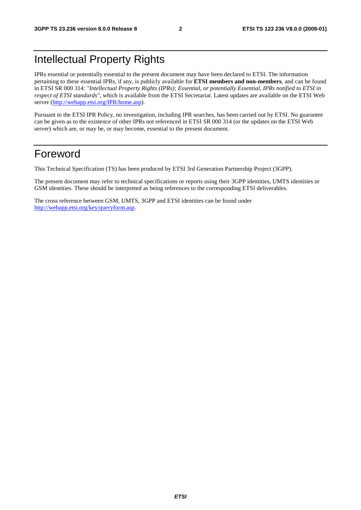## Intellectual Property Rights

IPRs essential or potentially essential to the present document may have been declared to ETSI. The information pertaining to these essential IPRs, if any, is publicly available for **ETSI members and non-members**, and can be found in ETSI SR 000 314: *"Intellectual Property Rights (IPRs); Essential, or potentially Essential, IPRs notified to ETSI in respect of ETSI standards"*, which is available from the ETSI Secretariat. Latest updates are available on the ETSI Web server (<http://webapp.etsi.org/IPR/home.asp>).

Pursuant to the ETSI IPR Policy, no investigation, including IPR searches, has been carried out by ETSI. No guarantee can be given as to the existence of other IPRs not referenced in ETSI SR 000 314 (or the updates on the ETSI Web server) which are, or may be, or may become, essential to the present document.

## Foreword

This Technical Specification (TS) has been produced by ETSI 3rd Generation Partnership Project (3GPP).

The present document may refer to technical specifications or reports using their 3GPP identities, UMTS identities or GSM identities. These should be interpreted as being references to the corresponding ETSI deliverables.

The cross reference between GSM, UMTS, 3GPP and ETSI identities can be found under <http://webapp.etsi.org/key/queryform.asp>.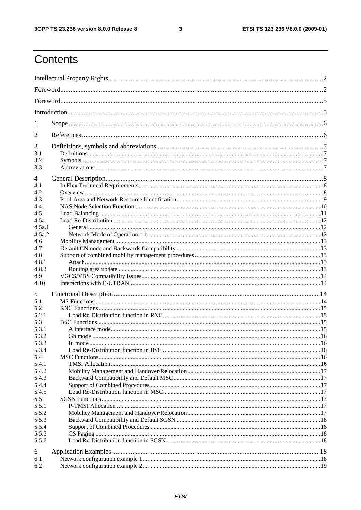#### $\mathbf{3}$

## Contents

| 1                                          |  |
|--------------------------------------------|--|
| 2                                          |  |
| 3<br>3.1<br>3.2<br>3.3                     |  |
| 4<br>4.1<br>4.2<br>4.3<br>4.4              |  |
| 4.5<br>4.5a<br>4.5a.1<br>4.5a.2            |  |
| 4.6<br>4.7<br>4.8<br>4.8.1<br>4.8.2<br>4.9 |  |
| 4.10<br>5                                  |  |
| 5.1<br>5.2<br>5.2.1<br>5.3                 |  |
| 5.3.1<br>5.3.2<br>5.3.3<br>5.3.4<br>5.4    |  |
| 5.4.1<br>5.4.2<br>5.4.3<br>5.4.4           |  |
| 5.4.5<br>5.5<br>5.5.1<br>5.5.2             |  |
| 5.5.3<br>5.5.4<br>5.5.5<br>5.5.6           |  |
| 6<br>6.1<br>6.2                            |  |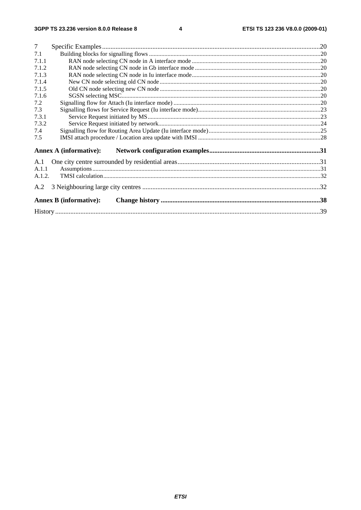| $\overline{7}$ |                               |  |
|----------------|-------------------------------|--|
| 7.1            |                               |  |
| 7.1.1          |                               |  |
| 7.1.2          |                               |  |
| 7.1.3          |                               |  |
| 7.1.4          |                               |  |
| 7.1.5          |                               |  |
| 7.1.6          |                               |  |
| 7.2            |                               |  |
| 7.3            |                               |  |
| 7.3.1          |                               |  |
| 7.3.2          |                               |  |
| 7.4            |                               |  |
| 7.5            |                               |  |
|                | <b>Annex A (informative):</b> |  |
| A.1            |                               |  |
| A.1.1          |                               |  |
| A.1.2.         |                               |  |
| A.2            |                               |  |
|                | <b>Annex B</b> (informative): |  |
|                |                               |  |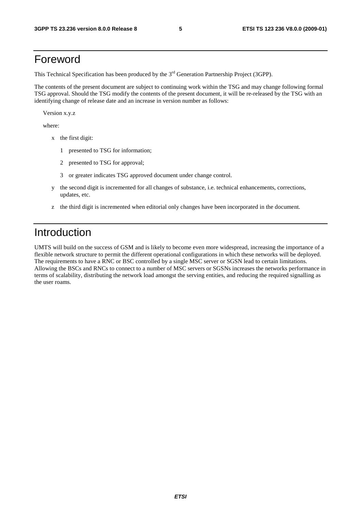## Foreword

This Technical Specification has been produced by the 3<sup>rd</sup> Generation Partnership Project (3GPP).

The contents of the present document are subject to continuing work within the TSG and may change following formal TSG approval. Should the TSG modify the contents of the present document, it will be re-released by the TSG with an identifying change of release date and an increase in version number as follows:

Version x.y.z

where:

- x the first digit:
	- 1 presented to TSG for information;
	- 2 presented to TSG for approval;
	- 3 or greater indicates TSG approved document under change control.
- y the second digit is incremented for all changes of substance, i.e. technical enhancements, corrections, updates, etc.
- z the third digit is incremented when editorial only changes have been incorporated in the document.

## Introduction

UMTS will build on the success of GSM and is likely to become even more widespread, increasing the importance of a flexible network structure to permit the different operational configurations in which these networks will be deployed. The requirements to have a RNC or BSC controlled by a single MSC server or SGSN lead to certain limitations. Allowing the BSCs and RNCs to connect to a number of MSC servers or SGSNs increases the networks performance in terms of scalability, distributing the network load amongst the serving entities, and reducing the required signalling as the user roams.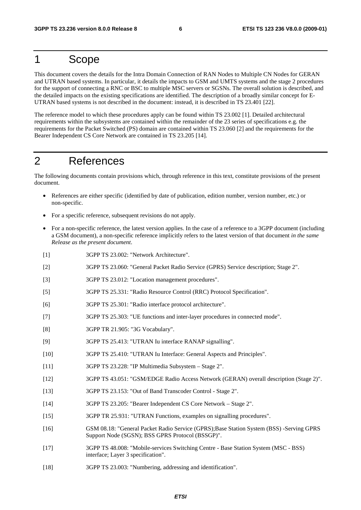## 1 Scope

This document covers the details for the Intra Domain Connection of RAN Nodes to Multiple CN Nodes for GERAN and UTRAN based systems. In particular, it details the impacts to GSM and UMTS systems and the stage 2 procedures for the support of connecting a RNC or BSC to multiple MSC servers or SGSNs. The overall solution is described, and the detailed impacts on the existing specifications are identified. The description of a broadly similar concept for E-UTRAN based systems is not described in the document: instead, it is described in TS 23.401 [22].

The reference model to which these procedures apply can be found within TS 23.002 [1]. Detailed architectural requirements within the subsystems are contained within the remainder of the 23 series of specifications e.g. the requirements for the Packet Switched (PS) domain are contained within TS 23.060 [2] and the requirements for the Bearer Independent CS Core Network are contained in TS 23.205 [14].

## 2 References

The following documents contain provisions which, through reference in this text, constitute provisions of the present document.

- References are either specific (identified by date of publication, edition number, version number, etc.) or non-specific.
- For a specific reference, subsequent revisions do not apply.
- For a non-specific reference, the latest version applies. In the case of a reference to a 3GPP document (including a GSM document), a non-specific reference implicitly refers to the latest version of that document *in the same Release as the present document*.
- [1] 3GPP TS 23.002: "Network Architecture".
- [2] 3GPP TS 23.060: "General Packet Radio Service (GPRS) Service description; Stage 2".
- [3] 3GPP TS 23.012: "Location management procedures".
- [5] 3GPP TS 25.331: "Radio Resource Control (RRC) Protocol Specification".
- [6] 3GPP TS 25.301: "Radio interface protocol architecture".
- [7] 3GPP TS 25.303: "UE functions and inter-layer procedures in connected mode".
- [8] 3GPP TR 21.905: "3G Vocabulary".
- [9] 3GPP TS 25.413: "UTRAN Iu interface RANAP signalling".
- [10] 3GPP TS 25.410: "UTRAN Iu Interface: General Aspects and Principles".
- [11] 3GPP TS 23.228: "IP Multimedia Subsystem Stage 2".
- [12] 3GPP TS 43.051: "GSM/EDGE Radio Access Network (GERAN) overall description (Stage 2)".
- [13] 3GPP TS 23.153: "Out of Band Transcoder Control Stage 2".
- [14] 3GPP TS 23.205: "Bearer Independent CS Core Network Stage 2".
- [15] 3GPP TR 25.931: "UTRAN Functions, examples on signalling procedures".
- [16] GSM 08.18: "General Packet Radio Service (GPRS);Base Station System (BSS) -Serving GPRS Support Node (SGSN); BSS GPRS Protocol (BSSGP)".
- [17] 3GPP TS 48.008: "Mobile-services Switching Centre Base Station System (MSC BSS) interface; Layer 3 specification".
- [18] 3GPP TS 23.003: "Numbering, addressing and identification".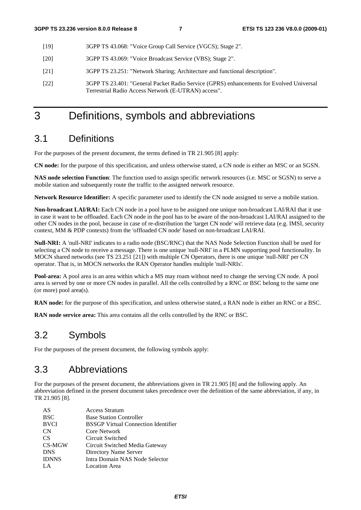- [19] 3GPP TS 43.068: "Voice Group Call Service (VGCS); Stage 2".
- [20] 3GPP TS 43.069: "Voice Broadcast Service (VBS); Stage 2".
- [21] 3GPP TS 23.251: "Network Sharing; Architecture and functional description".
- [22] 3GPP TS 23.401: "General Packet Radio Service (GPRS) enhancements for Evolved Universal Terrestrial Radio Access Network (E-UTRAN) access".

## 3 Definitions, symbols and abbreviations

### 3.1 Definitions

For the purposes of the present document, the terms defined in TR 21.905 [8] apply:

**CN node:** for the purpose of this specification, and unless otherwise stated, a CN node is either an MSC or an SGSN.

**NAS node selection Function**: The function used to assign specific network resources (i.e. MSC or SGSN) to serve a mobile station and subsequently route the traffic to the assigned network resource.

**Network Resource Identifier:** A specific parameter used to identify the CN node assigned to serve a mobile station.

**Non-broadcast LAI/RAI:** Each CN node in a pool have to be assigned one unique non-broadcast LAI/RAI that it use in case it want to be offloaded. Each CN node in the pool has to be aware of the non-broadcast LAI/RAI assigned to the other CN nodes in the pool, because in case of re-distribution the 'target CN node' will retrieve data (e.g. IMSI, security context, MM & PDP contexts) from the 'offloaded CN node' based on non-broadcast LAI/RAI.

**Null-NRI:** A 'null-NRI' indicates to a radio node (BSC/RNC) that the NAS Node Selection Function shall be used for selecting a CN node to receive a message. There is one unique 'null-NRI' in a PLMN supporting pool functionality. In MOCN shared networks (see TS 23.251 [21]) with multiple CN Operators, there is one unique 'null-NRI' per CN operator. That is, in MOCN networks the RAN Operator handles multiple 'null-NRIs'.

**Pool-area:** A pool area is an area within which a MS may roam without need to change the serving CN node. A pool area is served by one or more CN nodes in parallel. All the cells controlled by a RNC or BSC belong to the same one (or more) pool area(s).

**RAN node:** for the purpose of this specification, and unless otherwise stated, a RAN node is either an RNC or a BSC.

**RAN node service area:** This area contains all the cells controlled by the RNC or BSC.

### 3.2 Symbols

For the purposes of the present document, the following symbols apply:

### 3.3 Abbreviations

For the purposes of the present document, the abbreviations given in TR 21.905 [8] and the following apply. An abbreviation defined in the present document takes precedence over the definition of the same abbreviation, if any, in TR 21.905 [8].

| AS           | <b>Access Stratum</b>                      |
|--------------|--------------------------------------------|
| <b>BSC</b>   | <b>Base Station Controller</b>             |
| <b>BVCI</b>  | <b>BSSGP Virtual Connection Identifier</b> |
| <b>CN</b>    | Core Network                               |
| CS.          | Circuit Switched                           |
| CS-MGW       | Circuit Switched Media Gateway             |
| <b>DNS</b>   | Directory Name Server                      |
| <b>IDNNS</b> | Intra Domain NAS Node Selector             |
| LA.          | <b>Location</b> Area                       |
|              |                                            |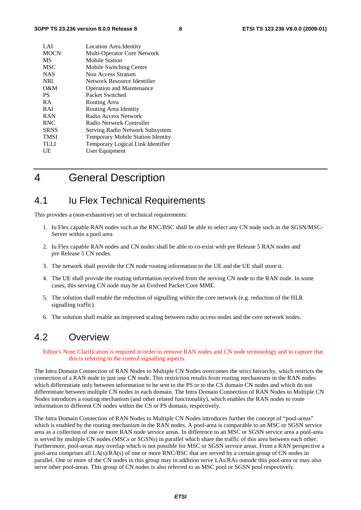| LAI         | Location Area Identity                   |
|-------------|------------------------------------------|
| <b>MOCN</b> | Multi-Operator Core Network              |
| MS          | <b>Mobile Station</b>                    |
| <b>MSC</b>  | Mobile Switching Centre                  |
| <b>NAS</b>  | Non Access Stratum                       |
| <b>NRI</b>  | Network Resource Identifier              |
| O&M         | <b>Operation and Maintenance</b>         |
| PS.         | Packet Switched                          |
| <b>RA</b>   | Routing Area                             |
| <b>RAI</b>  | Routing Area Identity                    |
| <b>RAN</b>  | Radio Access Network                     |
| <b>RNC</b>  | Radio Network Controller                 |
| <b>SRNS</b> | Serving Radio Network Subsystem          |
| <b>TMSI</b> | <b>Temporary Mobile Station Identity</b> |
| <b>TLLI</b> | Temporary Logical Link Identifier        |
| UE          | User Equipment                           |
|             |                                          |

4 General Description

### 4.1 Iu Flex Technical Requirements

This provides a (non-exhaustive) set of technical requirements:

- 1. Iu Flex capable RAN nodes such as the RNC/BSC shall be able to select any CN node such as the SGSN/MSC-Server within a pool area
- 2. Iu Flex capable RAN nodes and CN nodes shall be able to co-exist with pre Release 5 RAN nodes and pre Release 5 CN nodes.
- 3. The network shall provide the CN node routing information to the UE and the UE shall store it.
- 4. The UE shall provide the routing information received from the serving CN node to the RAN node. In some cases, this serving CN node may be an Evolved Packet Core MME.
- 5. The solution shall enable the reduction of signalling within the core network (e.g. reduction of the HLR signalling traffic).
- 6. The solution shall enable an improved scaling between radio access nodes and the core network nodes.

### 4.2 Overview

Editor's Note: Clarification is required in order to remove RAN nodes and CN node terminology and to capture that this is referring to the control signalling aspects.

The Intra Domain Connection of RAN Nodes to Multiple CN Nodes overcomes the strict hierarchy, which restricts the connection of a RAN node to just one CN node. This restriction results from routing mechanisms in the RAN nodes which differentiate only between information to be sent to the PS or to the CS domain CN nodes and which do not differentiate between multiple CN nodes in each domain. The Intra Domain Connection of RAN Nodes to Multiple CN Nodes introduces a routing mechanism (and other related functionality), which enables the RAN nodes to route information to different CN nodes within the CS or PS domain, respectively.

The Intra Domain Connection of RAN Nodes to Multiple CN Nodes introduces further the concept of "pool-areas" which is enabled by the routing mechanism in the RAN nodes. A pool-area is comparable to an MSC or SGSN service area as a collection of one or more RAN node service areas. In difference to an MSC or SGSN service area a pool-area is served by multiple CN nodes (MSCs or SGSNs) in parallel which share the traffic of this area between each other. Furthermore, pool-areas may overlap which is not possible for MSC or SGSN service areas. From a RAN perspective a pool-area comprises all LA(s)/RA(s) of one or more RNC/BSC that are served by a certain group of CN nodes in parallel. One or more of the CN nodes in this group may in addition serve LAs/RAs outside this pool-area or may also serve other pool-areas. This group of CN nodes is also referred to as MSC pool or SGSN pool respectively.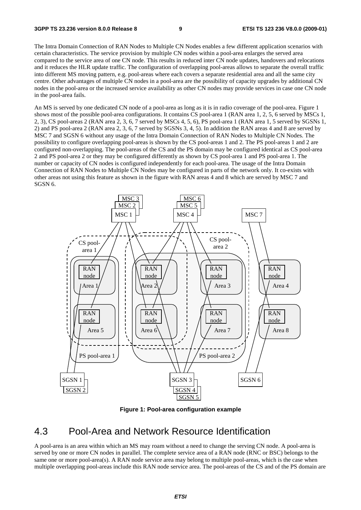The Intra Domain Connection of RAN Nodes to Multiple CN Nodes enables a few different application scenarios with certain characteristics. The service provision by multiple CN nodes within a pool-area enlarges the served area compared to the service area of one CN node. This results in reduced inter CN node updates, handovers and relocations and it reduces the HLR update traffic. The configuration of overlapping pool-areas allows to separate the overall traffic into different MS moving pattern, e.g. pool-areas where each covers a separate residential area and all the same city centre. Other advantages of multiple CN nodes in a pool-area are the possibility of capacity upgrades by additional CN nodes in the pool-area or the increased service availability as other CN nodes may provide services in case one CN node in the pool-area fails.

An MS is served by one dedicated CN node of a pool-area as long as it is in radio coverage of the pool-area. Figure 1 shows most of the possible pool-area configurations. It contains CS pool-area 1 (RAN area 1, 2, 5, 6 served by MSCs 1, 2, 3), CS pool-areas 2 (RAN area 2, 3, 6, 7 served by MSCs 4, 5, 6), PS pool-area 1 (RAN area 1, 5 served by SGSNs 1, 2) and PS pool-area 2 (RAN area 2, 3, 6, 7 served by SGSNs 3, 4, 5). In addition the RAN areas 4 and 8 are served by MSC 7 and SGSN 6 without any usage of the Intra Domain Connection of RAN Nodes to Multiple CN Nodes. The possibility to configure overlapping pool-areas is shown by the CS pool-areas 1 and 2. The PS pool-areas 1 and 2 are configured non-overlapping. The pool-areas of the CS and the PS domain may be configured identical as CS pool-area 2 and PS pool-area 2 or they may be configured differently as shown by CS pool-area 1 and PS pool-area 1. The number or capacity of CN nodes is configured independently for each pool-area. The usage of the Intra Domain Connection of RAN Nodes to Multiple CN Nodes may be configured in parts of the network only. It co-exists with other areas not using this feature as shown in the figure with RAN areas 4 and 8 which are served by MSC 7 and SGSN 6.



**Figure 1: Pool-area configuration example** 

### 4.3 Pool-Area and Network Resource Identification

A pool-area is an area within which an MS may roam without a need to change the serving CN node. A pool-area is served by one or more CN nodes in parallel. The complete service area of a RAN node (RNC or BSC) belongs to the same one or more pool-area(s). A RAN node service area may belong to multiple pool-areas, which is the case when multiple overlapping pool-areas include this RAN node service area. The pool-areas of the CS and of the PS domain are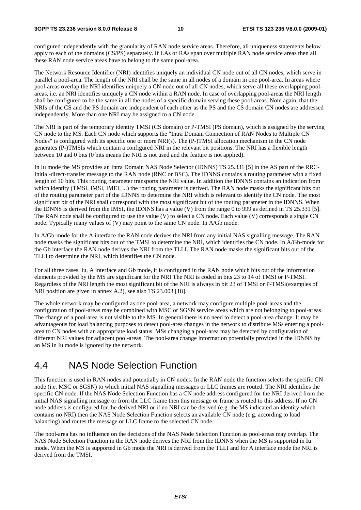configured independently with the granularity of RAN node service areas. Therefore, all uniqueness statements below apply to each of the domains (CS/PS) separately. If LAs or RAs span over multiple RAN node service areas then all these RAN node service areas have to belong to the same pool-area.

The Network Resource Identifier (NRI) identifies uniquely an individual CN node out of all CN nodes, which serve in parallel a pool-area. The length of the NRI shall be the same in all nodes of a domain in one pool-area. In areas where pool-areas overlap the NRI identifies uniquely a CN node out of all CN nodes, which serve all these overlapping poolareas, i.e. an NRI identifies uniquely a CN node within a RAN node. In case of overlapping pool-areas the NRI length shall be configured to be the same in all the nodes of a specific domain serving these pool-areas. Note again, that the NRIs of the CS and the PS domain are independent of each other as the PS and the CS domain CN nodes are addressed independently. More than one NRI may be assigned to a CN node.

The NRI is part of the temporary identity TMSI (CS domain) or P-TMSI (PS domain), which is assigned by the serving CN node to the MS. Each CN node which supports the "Intra Domain Connection of RAN Nodes to Multiple CN Nodes" is configured with its specific one or more NRI(s). The (P-)TMSI allocation mechanism in the CN node generates (P-)TMSIs which contain a configured NRI in the relevant bit positions. The NRI has a flexible length between 10 and 0 bits (0 bits means the NRI is not used and the feature is not applied).

In Iu mode the MS provides an Intra Domain NAS Node Selector (IDNNS) TS 25.331 [5] in the AS part of the RRC-Initial-direct-transfer message to the RAN node (RNC or BSC). The IDNNS contains a routing parameter with a fixed length of 10 bits. This routing parameter transports the NRI value. In addition the IDNNS contains an indication from which identity (TMSI, IMSI, IMEI, ...) the routing parameter is derived. The RAN node masks the significant bits out of the routing parameter part of the IDNNS to determine the NRI which is relevant to identify the CN node. The most significant bit of the NRI shall correspond with the most significant bit of the routing parameter in the IDNNS. When the IDNNS is derived from the IMSI, the IDNNS has a value (V) from the range 0 to 999 as defined in TS 25.331 [5]. The RAN node shall be configured to use the value (V) to select a CN node. Each value (V) corresponds a single CN node. Typically many values of (V) may point to the same CN node. In A/Gb mode.

In A/Gb-mode for the A interface the RAN node derives the NRI from any initial NAS signalling message. The RAN node masks the significant bits out of the TMSI to determine the NRI, which identifies the CN node. In A/Gb-mode for the Gb interface the RAN node derives the NRI from the TLLI. The RAN node masks the significant bits out of the TLLI to determine the NRI, which identifies the CN node.

For all three cases, Iu, A interface and Gb mode, it is configured in the RAN node which bits out of the information elements provided by the MS are significant for the NRI The NRI is coded in bits 23 to 14 of TMSI or P-TMSI. Regardless of the NRI length the most significant bit of the NRI is always in bit 23 of TMSI or P-TMSI(examples of NRI position are given in annex A.2), see also TS 23.003 [18].

The whole network may be configured as one pool-area, a network may configure multiple pool-areas and the configuration of pool-areas may be combined with MSC or SGSN service areas which are not belonging to pool-areas. The change of a pool-area is not visible to the MS. In general there is no need to detect a pool-area change. It may be advantageous for load balancing purposes to detect pool-area changes in the network to distribute MSs entering a poolarea to CN nodes with an appropriate load status. MSs changing a pool-area may be detected by configuration of different NRI values for adjacent pool-areas. The pool-area change information potentially provided in the IDNNS by an MS in Iu mode is ignored by the network.

### 4.4 NAS Node Selection Function

This function is used in RAN nodes and potentially in CN nodes. In the RAN node the function selects the specific CN node (i.e. MSC or SGSN) to which initial NAS signalling messages or LLC frames are routed. The NRI identifies the specific CN node. If the NAS Node Selection Function has a CN node address configured for the NRI derived from the initial NAS signalling message or from the LLC frame then this message or frame is routed to this address. If no CN node address is configured for the derived NRI or if no NRI can be derived (e.g. the MS indicated an identity which contains no NRI) then the NAS Node Selection Function selects an available CN node (e.g. according to load balancing) and routes the message or LLC frame to the selected CN node.

The pool-area has no influence on the decisions of the NAS Node Selection Function as pool-areas may overlap. The NAS Node Selection Function in the RAN node derives the NRI from the IDNNS when the MS is supported in Iu mode. When the MS is supported in Gb mode the NRI is derived from the TLLI and for A interface mode the NRI is derived from the TMSI.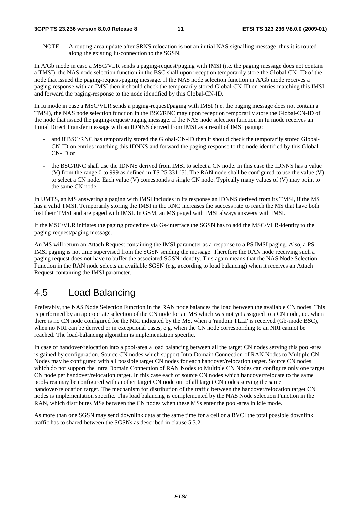#### **3GPP TS 23.236 version 8.0.0 Release 8 11 ETSI TS 123 236 V8.0.0 (2009-01)**

NOTE: A routing-area update after SRNS relocation is not an initial NAS signalling message, thus it is routed along the existing Iu-connection to the SGSN.

In A/Gb mode in case a MSC/VLR sends a paging-request/paging with IMSI (i.e. the paging message does not contain a TMSI), the NAS node selection function in the BSC shall upon reception temporarily store the Global-CN- ID of the node that issued the paging-request/paging message. If the NAS node selection function in A/Gb mode receives a paging-response with an IMSI then it should check the temporarily stored Global-CN-ID on entries matching this IMSI and forward the paging-response to the node identified by this Global-CN-ID.

In Iu mode in case a MSC/VLR sends a paging-request/paging with IMSI (i.e. the paging message does not contain a TMSI), the NAS node selection function in the BSC/RNC may upon reception temporarily store the Global-CN-ID of the node that issued the paging-request/paging message. If the NAS node selection function in Iu mode receives an Initial Direct Transfer message with an IDNNS derived from IMSI as a result of IMSI paging:

- and if BSC/RNC has temporarily stored the Global-CN-ID then it should check the temporarily stored Global-CN-ID on entries matching this IDNNS and forward the paging-response to the node identified by this Global-CN-ID or
- the BSC/RNC shall use the IDNNS derived from IMSI to select a CN node. In this case the IDNNS has a value (V) from the range 0 to 999 as defined in TS 25.331 [5]. The RAN node shall be configured to use the value (V) to select a CN node. Each value (V) corresponds a single CN node. Typically many values of (V) may point to the same CN node.

In UMTS, an MS answering a paging with IMSI includes in its response an IDNNS derived from its TMSI, if the MS has a valid TMSI. Temporarily storing the IMSI in the RNC increases the success rate to reach the MS that have both lost their TMSI and are paged with IMSI. In GSM, an MS paged with IMSI always answers with IMSI.

If the MSC/VLR initiates the paging procedure via Gs-interface the SGSN has to add the MSC/VLR-identity to the paging-request/paging message.

An MS will return an Attach Request containing the IMSI parameter as a response to a PS IMSI paging. Also, a PS IMSI paging is not time supervised from the SGSN sending the message. Therefore the RAN node receiving such a paging request does not have to buffer the associated SGSN identity. This again means that the NAS Node Selection Function in the RAN node selects an available SGSN (e.g. according to load balancing) when it receives an Attach Request containing the IMSI parameter.

## 4.5 Load Balancing

Preferably, the NAS Node Selection Function in the RAN node balances the load between the available CN nodes. This is performed by an appropriate selection of the CN node for an MS which was not yet assigned to a CN node, i.e. when there is no CN node configured for the NRI indicated by the MS, when a 'random TLLI' is received (Gb-mode BSC), when no NRI can be derived or in exceptional cases, e.g. when the CN node corresponding to an NRI cannot be reached. The load-balancing algorithm is implementation specific.

In case of handover/relocation into a pool-area a load balancing between all the target CN nodes serving this pool-area is gained by configuration. Source CN nodes which support Intra Domain Connection of RAN Nodes to Multiple CN Nodes may be configured with all possible target CN nodes for each handover/relocation target. Source CN nodes which do not support the Intra Domain Connection of RAN Nodes to Multiple CN Nodes can configure only one target CN node per handover/relocation target. In this case each of source CN nodes which handover/relocate to the same pool-area may be configured with another target CN node out of all target CN nodes serving the same handover/relocation target. The mechanism for distribution of the traffic between the handover/relocation target CN nodes is implementation specific. This load balancing is complemented by the NAS Node selection Function in the RAN, which distributes MSs between the CN nodes when these MSs enter the pool-area in idle mode.

As more than one SGSN may send downlink data at the same time for a cell or a BVCI the total possible downlink traffic has to shared between the SGSNs as described in clause 5.3.2.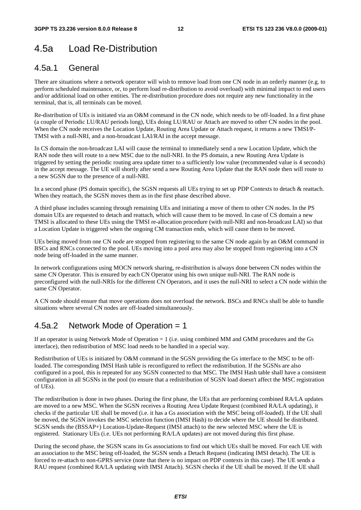## 4.5a Load Re-Distribution

#### 4.5a.1 General

There are situations where a network operator will wish to remove load from one CN node in an orderly manner (e.g. to perform scheduled maintenance, or, to perform load re-distribution to avoid overload) with minimal impact to end users and/or additional load on other entities. The re-distribution procedure does not require any new functionality in the terminal, that is, all terminals can be moved.

Re-distribution of UEs is initiated via an O&M command in the CN node, which needs to be off-loaded. In a first phase (a couple of Periodic LU/RAU periods long), UEs doing LU/RAU or Attach are moved to other CN nodes in the pool. When the CN node receives the Location Update, Routing Area Update or Attach request, it returns a new TMSI/P-TMSI with a null-NRI, and a non-broadcast LAI/RAI in the accept message.

In CS domain the non-broadcast LAI will cause the terminal to immediately send a new Location Update, which the RAN node then will route to a new MSC due to the null-NRI. In the PS domain, a new Routing Area Update is triggered by setting the periodic routing area update timer to a sufficiently low value (recommended value is 4 seconds) in the accept message. The UE will shortly after send a new Routing Area Update that the RAN node then will route to a new SGSN due to the presence of a null-NRI.

In a second phase (PS domain specific), the SGSN requests all UEs trying to set up PDP Contexts to detach & reattach. When they reattach, the SGSN moves them as in the first phase described above.

A third phase includes scanning through remaining UEs and initiating a move of them to other CN nodes. In the PS domain UEs are requested to detach and reattach, which will cause them to be moved. In case of CS domain a new TMSI is allocated to these UEs using the TMSI re-allocation procedure (with null-NRI and non-broadcast LAI) so that a Location Update is triggered when the ongoing CM transaction ends, which will cause them to be moved.

UEs being moved from one CN node are stopped from registering to the same CN node again by an O&M command in BSCs and RNCs connected to the pool. UEs moving into a pool area may also be stopped from registering into a CN node being off-loaded in the same manner.

In network configurations using MOCN network sharing, re-distribution is always done between CN nodes within the same CN Operator. This is ensured by each CN Operator using his own unique null-NRI. The RAN node is preconfigured with the null-NRIs for the different CN Operators, and it uses the null-NRI to select a CN node within the same CN Operator.

A CN node should ensure that move operations does not overload the network. BSCs and RNCs shall be able to handle situations where several CN nodes are off-loaded simultaneously.

### 4.5a.2 Network Mode of Operation = 1

If an operator is using Network Mode of Operation = 1 (i.e. using combined MM and GMM procedures and the Gs interface), then redistribution of MSC load needs to be handled in a special way.

Redistribution of UEs is initiated by O&M command in the SGSN providing the Gs interface to the MSC to be offloaded. The corresponding IMSI Hash table is reconfigured to reflect the redistribution. If the SGSNs are also configured in a pool, this is repeated for any SGSN connected to that MSC. The IMSI Hash table shall have a consistent configuration in all SGSNs in the pool (to ensure that a redistribution of SGSN load doesn't affect the MSC registration of UEs).

The redistribution is done in two phases. During the first phase, the UEs that are performing combined RA/LA updates are moved to a new MSC. When the SGSN receives a Routing Area Update Request (combined RA/LA updating), it checks if the particular UE shall be moved (i.e. it has a Gs association with the MSC being off-loaded). If the UE shall be moved, the SGSN invokes the MSC selection function (IMSI Hash) to decide where the UE should be distributed. SGSN sends the (BSSAP+) Location-Update-Request (IMSI attach) to the new selected MSC where the UE is registered. Stationary UEs (i.e. UEs not performing RA/LA updates) are not moved during this first phase.

During the second phase, the SGSN scans its Gs associations to find out which UEs shall be moved. For each UE with an association to the MSC being off-loaded, the SGSN sends a Detach Request (indicating IMSI detach). The UE is forced to re-attach to non-GPRS service (note that there is no impact on PDP contexts in this case). The UE sends a RAU request (combined RA/LA updating with IMSI Attach). SGSN checks if the UE shall be moved. If the UE shall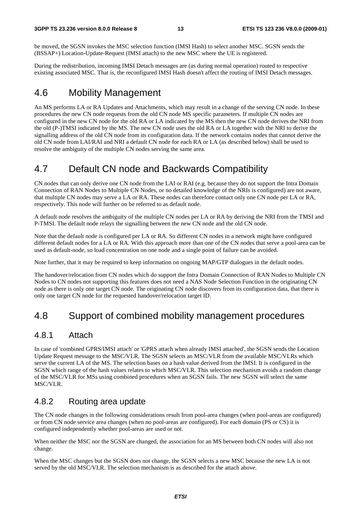be moved, the SGSN invokes the MSC selection function (IMSI Hash) to select another MSC. SGSN sends the (BSSAP+) Location-Update-Request (IMSI attach) to the new MSC where the UE is registered.

During the redistribution, incoming IMSI Detach messages are (as during normal operation) routed to respective existing associated MSC. That is, the reconfigured IMSI Hash doesn't affect the routing of IMSI Detach messages.

## 4.6 Mobility Management

An MS performs LA or RA Updates and Attachments, which may result in a change of the serving CN node. In these procedures the new CN node requests from the old CN node MS specific parameters. If multiple CN nodes are configured in the new CN node for the old RA or LA indicated by the MS then the new CN node derives the NRI from the old (P-)TMSI indicated by the MS. The new CN node uses the old RA or LA together with the NRI to derive the signalling address of the old CN node from its configuration data. If the network contains nodes that cannot derive the old CN node from LAI/RAI and NRI a default CN node for each RA or LA (as described below) shall be used to resolve the ambiguity of the multiple CN nodes serving the same area.

### 4.7 Default CN node and Backwards Compatibility

CN nodes that can only derive one CN node from the LAI or RAI (e.g. because they do not support the Intra Domain Connection of RAN Nodes to Multiple CN Nodes, or no detailed knowledge of the NRIs is configured) are not aware, that multiple CN nodes may serve a LA or RA. These nodes can therefore contact only one CN node per LA or RA, respectively. This node will further on be referred to as default node.

A default node resolves the ambiguity of the multiple CN nodes per LA or RA by deriving the NRI from the TMSI and P-TMSI. The default node relays the signalling between the new CN node and the old CN node.

Note that the default node is configured per LA or RA. So different CN nodes in a network might have configured different default nodes for a LA or RA. With this approach more than one of the CN nodes that serve a pool-area can be used as default-node, so load concentration on one node and a single point of failure can be avoided.

Note further, that it may be required to keep information on ongoing MAP/GTP dialogues in the default nodes.

The handover/relocation from CN nodes which do support the Intra Domain Connection of RAN Nodes to Multiple CN Nodes to CN nodes not supporting this features does not need a NAS Node Selection Function in the originating CN node as there is only one target CN node. The originating CN node discovers from its configuration data, that there is only one target CN node for the requested handover/relocation target ID.

## 4.8 Support of combined mobility management procedures

#### 4.8.1 Attach

In case of 'combined GPRS/IMSI attach' or 'GPRS attach when already IMSI attached', the SGSN sends the Location Update Request message to the MSC/VLR. The SGSN selects an MSC/VLR from the available MSC/VLRs which serve the current LA of the MS. The selection bases on a hash value derived from the IMSI. It is configured in the SGSN which range of the hash values relates to which MSC/VLR. This selection mechanism avoids a random change of the MSC/VLR for MSs using combined procedures when an SGSN fails. The new SGSN will select the same MSC/VLR.

### 4.8.2 Routing area update

The CN node changes in the following considerations result from pool-area changes (when pool-areas are configured) or from CN node service area changes (when no pool-areas are configured). For each domain (PS or CS) it is configured independently whether pool-areas are used or not.

When neither the MSC nor the SGSN are changed, the association for an MS between both CN nodes will also not change.

When the MSC changes but the SGSN does not change, the SGSN selects a new MSC because the new LA is not served by the old MSC/VLR. The selection mechanism is as described for the attach above.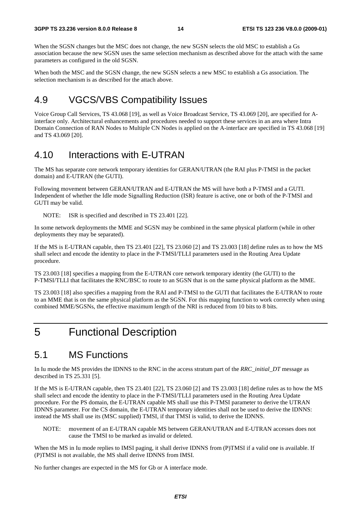When the SGSN changes but the MSC does not change, the new SGSN selects the old MSC to establish a Gs association because the new SGSN uses the same selection mechanism as described above for the attach with the same parameters as configured in the old SGSN.

When both the MSC and the SGSN change, the new SGSN selects a new MSC to establish a Gs association. The selection mechanism is as described for the attach above.

### 4.9 VGCS/VBS Compatibility Issues

Voice Group Call Services, TS 43.068 [19], as well as Voice Broadcast Service, TS 43.069 [20], are specified for Ainterface only. Architectural enhancements and procedures needed to support these services in an area where Intra Domain Connection of RAN Nodes to Multiple CN Nodes is applied on the A-interface are specified in TS 43.068 [19] and TS 43.069 [20].

### 4.10 Interactions with E-UTRAN

The MS has separate core network temporary identities for GERAN/UTRAN (the RAI plus P-TMSI in the packet domain) and E-UTRAN (the GUTI).

Following movement between GERAN/UTRAN and E-UTRAN the MS will have both a P-TMSI and a GUTI. Independent of whether the Idle mode Signalling Reduction (ISR) feature is active, one or both of the P-TMSI and GUTI may be valid.

NOTE: ISR is specified and described in TS 23.401 [22].

In some network deployments the MME and SGSN may be combined in the same physical platform (while in other deployments they may be separated).

If the MS is E-UTRAN capable, then TS 23.401 [22], TS 23.060 [2] and TS 23.003 [18] define rules as to how the MS shall select and encode the identity to place in the P-TMSI/TLLI parameters used in the Routing Area Update procedure.

TS 23.003 [18] specifies a mapping from the E-UTRAN core network temporary identity (the GUTI) to the P-TMSI/TLLI that facilitates the RNC/BSC to route to an SGSN that is on the same physical platform as the MME.

TS 23.003 [18] also specifies a mapping from the RAI and P-TMSI to the GUTI that facilitates the E-UTRAN to route to an MME that is on the same physical platform as the SGSN. For this mapping function to work correctly when using combined MME/SGSNs, the effective maximum length of the NRI is reduced from 10 bits to 8 bits.

## 5 Functional Description

### 5.1 MS Functions

In Iu mode the MS provides the IDNNS to the RNC in the access stratum part of the *RRC\_initial\_DT* message as described in TS 25.331 [5].

If the MS is E-UTRAN capable, then TS 23.401 [22], TS 23.060 [2] and TS 23.003 [18] define rules as to how the MS shall select and encode the identity to place in the P-TMSI/TLLI parameters used in the Routing Area Update procedure. For the PS domain, the E-UTRAN capable MS shall use this P-TMSI parameter to derive the UTRAN IDNNS parameter. For the CS domain, the E-UTRAN temporary identities shall not be used to derive the IDNNS: instead the MS shall use its (MSC supplied) TMSI, if that TMSI is valid, to derive the IDNNS.

NOTE: movement of an E-UTRAN capable MS between GERAN/UTRAN and E-UTRAN accesses does not cause the TMSI to be marked as invalid or deleted.

When the MS in Iu mode replies to IMSI paging, it shall derive IDNNS from (P)TMSI if a valid one is available. If (P)TMSI is not available, the MS shall derive IDNNS from IMSI.

No further changes are expected in the MS for Gb or A interface mode.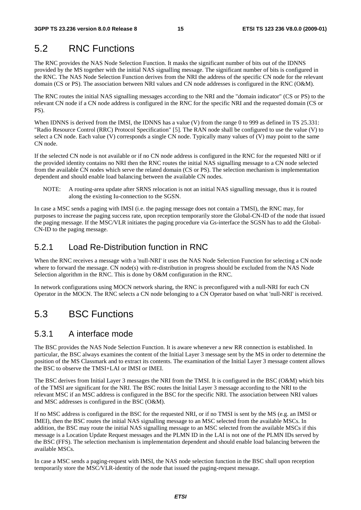## 5.2 RNC Functions

The RNC provides the NAS Node Selection Function. It masks the significant number of bits out of the IDNNS provided by the MS together with the initial NAS signalling message. The significant number of bits is configured in the RNC. The NAS Node Selection Function derives from the NRI the address of the specific CN node for the relevant domain (CS or PS). The association between NRI values and CN node addresses is configured in the RNC (O&M).

The RNC routes the initial NAS signalling messages according to the NRI and the "domain indicator" (CS or PS) to the relevant CN node if a CN node address is configured in the RNC for the specific NRI and the requested domain (CS or PS).

When IDNNS is derived from the IMSI, the IDNNS has a value (V) from the range 0 to 999 as defined in TS 25.331: "Radio Resource Control (RRC) Protocol Specification" [5]. The RAN node shall be configured to use the value (V) to select a CN node. Each value (V) corresponds a single CN node. Typically many values of (V) may point to the same CN node.

If the selected CN node is not available or if no CN node address is configured in the RNC for the requested NRI or if the provided identity contains no NRI then the RNC routes the initial NAS signalling message to a CN node selected from the available CN nodes which serve the related domain (CS or PS). The selection mechanism is implementation dependent and should enable load balancing between the available CN nodes.

NOTE: A routing-area update after SRNS relocation is not an initial NAS signalling message, thus it is routed along the existing Iu-connection to the SGSN.

In case a MSC sends a paging with IMSI (i.e. the paging message does not contain a TMSI), the RNC may, for purposes to increase the paging success rate, upon reception temporarily store the Global-CN-ID of the node that issued the paging message. If the MSC/VLR initiates the paging procedure via Gs-interface the SGSN has to add the Global-CN-ID to the paging message.

### 5.2.1 Load Re-Distribution function in RNC

When the RNC receives a message with a 'null-NRI' it uses the NAS Node Selection Function for selecting a CN node where to forward the message. CN node(s) with re-distribution in progress should be excluded from the NAS Node Selection algorithm in the RNC. This is done by O&M configuration in the RNC.

In network configurations using MOCN network sharing, the RNC is preconfigured with a null-NRI for each CN Operator in the MOCN. The RNC selects a CN node belonging to a CN Operator based on what 'null-NRI' is received.

## 5.3 BSC Functions

### 5.3.1 A interface mode

The BSC provides the NAS Node Selection Function. It is aware whenever a new RR connection is established. In particular, the BSC always examines the content of the Initial Layer 3 message sent by the MS in order to determine the position of the MS Classmark and to extract its contents. The examination of the Initial Layer 3 message content allows the BSC to observe the TMSI+LAI or IMSI or IMEI.

The BSC derives from Initial Layer 3 messages the NRI from the TMSI. It is configured in the BSC (O&M) which bits of the TMSI are significant for the NRI. The BSC routes the Initial Layer 3 message according to the NRI to the relevant MSC if an MSC address is configured in the BSC for the specific NRI. The association between NRI values and MSC addresses is configured in the BSC (O&M).

If no MSC address is configured in the BSC for the requested NRI, or if no TMSI is sent by the MS (e.g. an IMSI or IMEI), then the BSC routes the initial NAS signalling message to an MSC selected from the available MSCs. In addition, the BSC may route the initial NAS signalling message to an MSC selected from the available MSCs if this message is a Location Update Request messages and the PLMN ID in the LAI is not one of the PLMN IDs served by the BSC (FFS). The selection mechanism is implementation dependent and should enable load balancing between the available MSCs.

In case a MSC sends a paging-request with IMSI, the NAS node selection function in the BSC shall upon reception temporarily store the MSC/VLR-identity of the node that issued the paging-request message.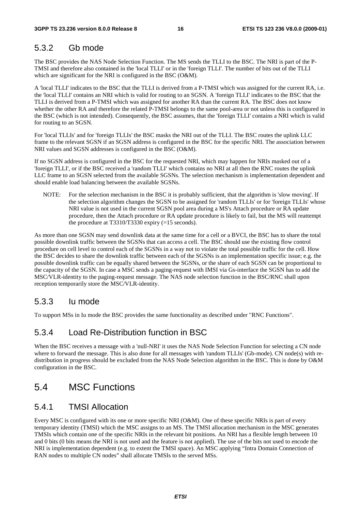### 5.3.2 Gb mode

The BSC provides the NAS Node Selection Function. The MS sends the TLLI to the BSC. The NRI is part of the P-TMSI and therefore also contained in the 'local TLLI' or in the 'foreign TLLI'. The number of bits out of the TLLI which are significant for the NRI is configured in the BSC (O&M).

A 'local TLLI' indicates to the BSC that the TLLI is derived from a P-TMSI which was assigned for the current RA, i.e. the 'local TLLI' contains an NRI which is valid for routing to an SGSN. A 'foreign TLLI' indicates to the BSC that the TLLI is derived from a P-TMSI which was assigned for another RA than the current RA. The BSC does not know whether the other RA and therefore the related P-TMSI belongs to the same pool-area or not unless this is configured in the BSC (which is not intended). Consequently, the BSC assumes, that the 'foreign TLLI' contains a NRI which is valid for routing to an SGSN.

For 'local TLLIs' and for 'foreign TLLIs' the BSC masks the NRI out of the TLLI. The BSC routes the uplink LLC frame to the relevant SGSN if an SGSN address is configured in the BSC for the specific NRI. The association between NRI values and SGSN addresses is configured in the BSC (O&M).

If no SGSN address is configured in the BSC for the requested NRI, which may happen for NRIs masked out of a 'foreign TLLI', or if the BSC received a 'random TLLI' which contains no NRI at all then the RNC routes the uplink LLC frame to an SGSN selected from the available SGSNs. The selection mechanism is implementation dependent and should enable load balancing between the available SGSNs.

NOTE: For the selection mechanism in the BSC it is probably sufficient, that the algorithm is 'slow moving'. If the selection algorithm changes the SGSN to be assigned for 'random TLLIs' or for 'foreign TLLIs' whose NRI value is not used in the current SGSN pool area during a MS's Attach procedure or RA update procedure, then the Attach procedure or RA update procedure is likely to fail, but the MS will reattempt the procedure at T3310/T3330 expiry  $(=15$  seconds).

As more than one SGSN may send downlink data at the same time for a cell or a BVCI, the BSC has to share the total possible downlink traffic between the SGSNs that can access a cell. The BSC should use the existing flow control procedure on cell level to control each of the SGSNs in a way not to violate the total possible traffic for the cell. How the BSC decides to share the downlink traffic between each of the SGSNs is an implementation specific issue; e.g. the possible downlink traffic can be equally shared between the SGSNs, or the share of each SGSN can be proportional to the capacity of the SGSN. In case a MSC sends a paging-request with IMSI via Gs-interface the SGSN has to add the MSC/VLR-identity to the paging-request message. The NAS node selection function in the BSC/RNC shall upon reception temporarily store the MSC/VLR-identity.

### 5.3.3 Iu mode

To support MSs in Iu mode the BSC provides the same functionality as described under "RNC Functions".

### 5.3.4 Load Re-Distribution function in BSC

When the BSC receives a message with a 'null-NRI' it uses the NAS Node Selection Function for selecting a CN node where to forward the message. This is also done for all messages with 'random TLLIs' (Gb-mode). CN node(s) with redistribution in progress should be excluded from the NAS Node Selection algorithm in the BSC. This is done by O&M configuration in the BSC.

### 5.4 MSC Functions

#### 5.4.1 TMSI Allocation

Every MSC is configured with its one or more specific NRI (O&M). One of these specific NRIs is part of every temporary identity (TMSI) which the MSC assigns to an MS. The TMSI allocation mechanism in the MSC generates TMSIs which contain one of the specific NRIs in the relevant bit positions. An NRI has a flexible length between 10 and 0 bits (0 bits means the NRI is not used and the feature is not applied). The use of the bits not used to encode the NRI is implementation dependent (e.g. to extent the TMSI space). An MSC applying "Intra Domain Connection of RAN nodes to multiple CN nodes" shall allocate TMSIs to the served MSs.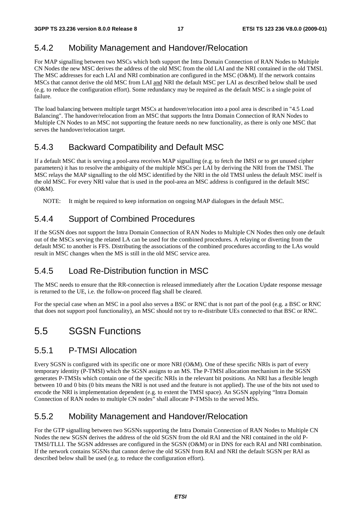### 5.4.2 Mobility Management and Handover/Relocation

For MAP signalling between two MSCs which both support the Intra Domain Connection of RAN Nodes to Multiple CN Nodes the new MSC derives the address of the old MSC from the old LAI and the NRI contained in the old TMSI. The MSC addresses for each LAI and NRI combination are configured in the MSC (O&M). If the network contains MSCs that cannot derive the old MSC from LAI and NRI the default MSC per LAI as described below shall be used (e.g. to reduce the configuration effort). Some redundancy may be required as the default MSC is a single point of failure.

The load balancing between multiple target MSCs at handover/relocation into a pool area is described in "4.5 Load Balancing". The handover/relocation from an MSC that supports the Intra Domain Connection of RAN Nodes to Multiple CN Nodes to an MSC not supporting the feature needs no new functionality, as there is only one MSC that serves the handover/relocation target.

### 5.4.3 Backward Compatibility and Default MSC

If a default MSC that is serving a pool-area receives MAP signalling (e.g. to fetch the IMSI or to get unused cipher parameters) it has to resolve the ambiguity of the multiple MSCs per LAI by deriving the NRI from the TMSI. The MSC relays the MAP signalling to the old MSC identified by the NRI in the old TMSI unless the default MSC itself is the old MSC. For every NRI value that is used in the pool-area an MSC address is configured in the default MSC (O&M).

NOTE: It might be required to keep information on ongoing MAP dialogues in the default MSC.

### 5.4.4 Support of Combined Procedures

If the SGSN does not support the Intra Domain Connection of RAN Nodes to Multiple CN Nodes then only one default out of the MSCs serving the related LA can be used for the combined procedures. A relaying or diverting from the default MSC to another is FFS. Distributing the associations of the combined procedures according to the LAs would result in MSC changes when the MS is still in the old MSC service area.

### 5.4.5 Load Re-Distribution function in MSC

The MSC needs to ensure that the RR-connection is released immediately after the Location Update response message is returned to the UE, i.e. the follow-on proceed flag shall be cleared.

For the special case when an MSC in a pool also serves a BSC or RNC that is not part of the pool (e.g. a BSC or RNC that does not support pool functionality), an MSC should not try to re-distribute UEs connected to that BSC or RNC.

## 5.5 SGSN Functions

### 5.5.1 P-TMSI Allocation

Every SGSN is configured with its specific one or more NRI (O&M). One of these specific NRIs is part of every temporary identity (P-TMSI) which the SGSN assigns to an MS. The P-TMSI allocation mechanism in the SGSN generates P-TMSIs which contain one of the specific NRIs in the relevant bit positions. An NRI has a flexible length between 10 and 0 bits (0 bits means the NRI is not used and the feature is not applied). The use of the bits not used to encode the NRI is implementation dependent (e.g. to extent the TMSI space). An SGSN applying "Intra Domain Connection of RAN nodes to multiple CN nodes" shall allocate P-TMSIs to the served MSs.

### 5.5.2 Mobility Management and Handover/Relocation

For the GTP signalling between two SGSNs supporting the Intra Domain Connection of RAN Nodes to Multiple CN Nodes the new SGSN derives the address of the old SGSN from the old RAI and the NRI contained in the old P-TMSI/TLLI. The SGSN addresses are configured in the SGSN (O&M) or in DNS for each RAI and NRI combination. If the network contains SGSNs that cannot derive the old SGSN from RAI and NRI the default SGSN per RAI as described below shall be used (e.g. to reduce the configuration effort).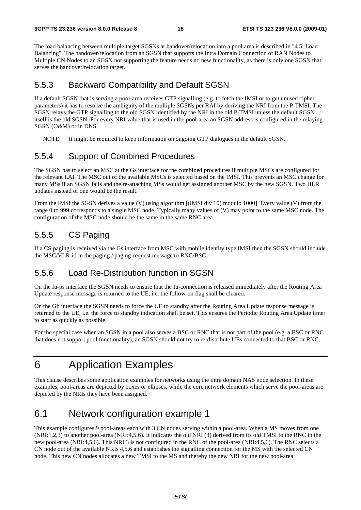The load balancing between multiple target SGSNs at handover/relocation into a pool area is described in "4.5: Load Balancing". The handover/relocation from an SGSN that supports the Intra Domain Connection of RAN Nodes to Multiple CN Nodes to an SGSN not supporting the feature needs no new functionality, as there is only one SGSN that serves the handover/relocation target.

#### 5.5.3 Backward Compatibility and Default SGSN

If a default SGSN that is serving a pool-area receives GTP signalling (e.g. to fetch the IMSI or to get unused cipher parameters) it has to resolve the ambiguity of the multiple SGSNs per RAI by deriving the NRI from the P-TMSI. The SGSN relays the GTP signalling to the old SGSN identified by the NRI in the old P-TMSI unless the default SGSN itself is the old SGSN. For every NRI value that is used in the pool-area an SGSN address is configured in the relaying SGSN (O&M) or in DNS.

NOTE: It might be required to keep information on ongoing GTP dialogues in the default SGSN.

#### 5.5.4 Support of Combined Procedures

The SGSN has to select an MSC at the Gs interface for the combined procedures if multiple MSCs are configured for the relevant LAI. The MSC out of the available MSCs is selected based on the IMSI. This prevents an MSC change for many MSs if an SGSN fails and the re-attaching MSs would get assigned another MSC by the new SGSN. Two HLR updates instead of one would be the result.

From the IMSI the SGSN derives a value (V) using algorithm [(IMSI div 10) modulo 1000]. Every value (V) from the range 0 to 999 corresponds to a single MSC node. Typically many values of (V) may point to the same MSC node. The configuration of the MSC node should be the same in the same RNC area.

#### 5.5.5 CS Paging

If a CS paging is received via the Gs interface from MSC with mobile identity type IMSI then the SGSN should include the MSC/VLR-id in the paging / paging-request message to RNC/BSC.

#### 5.5.6 Load Re-Distribution function in SGSN

On the Iu-ps interface the SGSN needs to ensure that the Iu-connection is released immediately after the Routing Area Update response message is returned to the UE, i.e. the follow-on flag shall be cleared.

On the Gb interface the SGSN needs to force the UE to standby after the Routing Area Update response message is returned to the UE, i.e. the force to standby indication shall be set. This ensures the Periodic Routing Area Update timer to start as quickly as possible.

For the special case when an SGSN in a pool also serves a BSC or RNC that is not part of the pool (e.g. a BSC or RNC that does not support pool functionality), an SGSN should not try to re-distribute UEs connected to that BSC or RNC.

## 6 Application Examples

This clause describes some application examples for networks using the intra domain NAS node selection. In these examples, pool-areas are depicted by boxes or ellipses, while the core network elements which serve the pool-areas are depicted by the NRIs they have been assigned.

### 6.1 Network configuration example 1

This example configures 9 pool-areas each with 3 CN nodes serving within a pool-area. When a MS moves from one (NRI:1,2,3) to another pool-area (NRI:4,5,6). It indicates the old NRI (3) derived from its old TMSI to the RNC in the new pool-area (NRI:4,5,6). This NRI 3 is not configured in the RNC of the pool-area (NRI:4,5,6). The RNC selects a CN node out of the available NRIs 4,5,6 and establishes the signalling connection for the MS with the selected CN node. This new CN nodes allocates a new TMSI to the MS and thereby the new NRI for the new pool-area.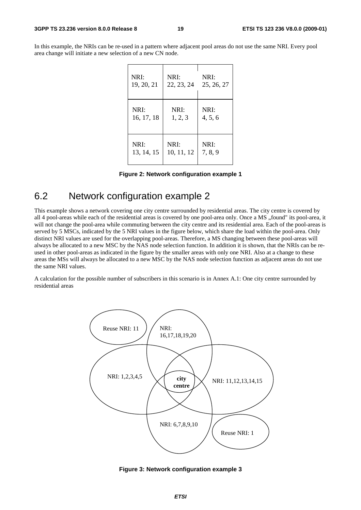In this example, the NRIs can be re-used in a pattern where adjacent pool areas do not use the same NRI. Every pool area change will initiate a new selection of a new CN node.

| NRI:       | NRI:       | NRI:       |
|------------|------------|------------|
| 19, 20, 21 | 22, 23, 24 | 25, 26, 27 |
| NRI:       | NRI:       | NRI:       |
| 16, 17, 18 | 1, 2, 3    | 4, 5, 6    |
| NRI:       | NRI:       | NRI:       |
| 13, 14, 15 | 10, 11, 12 | 7, 8, 9    |

|  | Figure 2: Network configuration example 1 |  |
|--|-------------------------------------------|--|
|  |                                           |  |

### 6.2 Network configuration example 2

This example shows a network covering one city centre surrounded by residential areas. The city centre is covered by all 4 pool-areas while each of the residential areas is covered by one pool-area only. Once a MS "found" its pool-area, it will not change the pool-area while commuting between the city centre and its residential area. Each of the pool-areas is served by 5 MSCs, indicated by the 5 NRI values in the figure below, which share the load within the pool-area. Only distinct NRI values are used for the overlapping pool-areas. Therefore, a MS changing between these pool-areas will always be allocated to a new MSC by the NAS node selection function. In addition it is shown, that the NRIs can be reused in other pool-areas as indicated in the figure by the smaller areas with only one NRI. Also at a change to these areas the MSs will always be allocated to a new MSC by the NAS node selection function as adjacent areas do not use the same NRI values.

A calculation for the possible number of subscribers in this scenario is in Annex A.1: One city centre surrounded by residential areas



**Figure 3: Network configuration example 3**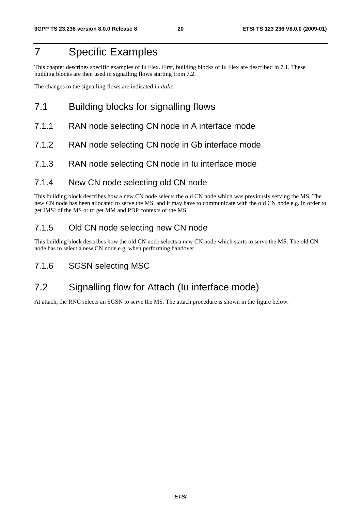## 7 Specific Examples

This chapter describes specific examples of Iu Flex. First, building blocks of Iu Flex are described in 7.1. These building blocks are then used in signalling flows starting from 7.2.

The changes to the signalling flows are indicated in *italic.* 

### 7.1 Building blocks for signalling flows

- 7.1.1 RAN node selecting CN node in A interface mode
- 7.1.2 RAN node selecting CN node in Gb interface mode
- 7.1.3 RAN node selecting CN node in Iu interface mode

#### 7.1.4 New CN node selecting old CN node

This building block describes how a new CN node selects the old CN node which was previously serving the MS. The new CN node has been allocated to serve the MS, and it may have to communicate with the old CN node e.g. in order to get IMSI of the MS or to get MM and PDP contexts of the MS.

### 7.1.5 Old CN node selecting new CN node

This building block describes how the old CN node selects a new CN node which starts to serve the MS. The old CN node has to select a new CN node e.g. when performing handover.

### 7.1.6 SGSN selecting MSC

## 7.2 Signalling flow for Attach (Iu interface mode)

At attach, the RNC selects an SGSN to serve the MS. The attach procedure is shown in the figure below.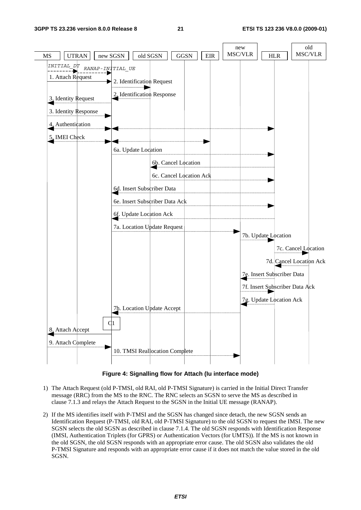

**Figure 4: Signalling flow for Attach (Iu interface mode)** 

- 1) The Attach Request (old P-TMSI, old RAI, old P-TMSI Signature) is carried in the Initial Direct Transfer message (RRC) from the MS to the RNC. The RNC selects an SGSN to serve the MS as described in clause 7.1.3 and relays the Attach Request to the SGSN in the Initial UE message (RANAP).
- 2) If the MS identifies itself with P-TMSI and the SGSN has changed since detach, the new SGSN sends an Identification Request (P-TMSI, old RAI, old P-TMSI Signature) to the old SGSN to request the IMSI. The new SGSN selects the old SGSN as described in clause 7.1.4. The old SGSN responds with Identification Response (IMSI, Authentication Triplets (for GPRS) or Authentication Vectors (for UMTS)). If the MS is not known in the old SGSN, the old SGSN responds with an appropriate error cause. The old SGSN also validates the old P-TMSI Signature and responds with an appropriate error cause if it does not match the value stored in the old SGSN.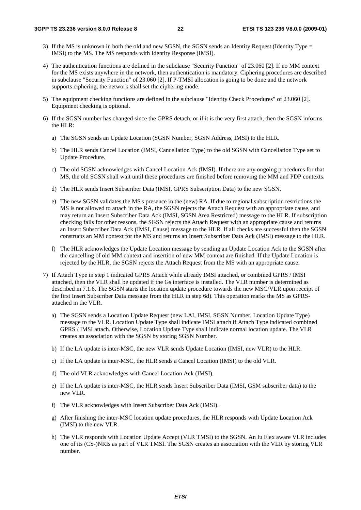- 3) If the MS is unknown in both the old and new SGSN, the SGSN sends an Identity Request (Identity Type = IMSI) to the MS. The MS responds with Identity Response (IMSI).
- 4) The authentication functions are defined in the subclause "Security Function" of 23.060 [2]. If no MM context for the MS exists anywhere in the network, then authentication is mandatory. Ciphering procedures are described in subclause "Security Function" of 23.060 [2]. If P-TMSI allocation is going to be done and the network supports ciphering, the network shall set the ciphering mode.
- 5) The equipment checking functions are defined in the subclause "Identity Check Procedures" of 23.060 [2]. Equipment checking is optional.
- 6) If the SGSN number has changed since the GPRS detach, or if it is the very first attach, then the SGSN informs the HLR:
	- a) The SGSN sends an Update Location (SGSN Number, SGSN Address, IMSI) to the HLR.
	- b) The HLR sends Cancel Location (IMSI, Cancellation Type) to the old SGSN with Cancellation Type set to Update Procedure.
	- c) The old SGSN acknowledges with Cancel Location Ack (IMSI). If there are any ongoing procedures for that MS, the old SGSN shall wait until these procedures are finished before removing the MM and PDP contexts.
	- d) The HLR sends Insert Subscriber Data (IMSI, GPRS Subscription Data) to the new SGSN.
	- e) The new SGSN validates the MS's presence in the (new) RA. If due to regional subscription restrictions the MS is not allowed to attach in the RA, the SGSN rejects the Attach Request with an appropriate cause, and may return an Insert Subscriber Data Ack (IMSI, SGSN Area Restricted) message to the HLR. If subscription checking fails for other reasons, the SGSN rejects the Attach Request with an appropriate cause and returns an Insert Subscriber Data Ack (IMSI, Cause) message to the HLR. If all checks are successful then the SGSN constructs an MM context for the MS and returns an Insert Subscriber Data Ack (IMSI) message to the HLR.
	- f) The HLR acknowledges the Update Location message by sending an Update Location Ack to the SGSN after the cancelling of old MM context and insertion of new MM context are finished. If the Update Location is rejected by the HLR, the SGSN rejects the Attach Request from the MS with an appropriate cause.
- 7) If Attach Type in step 1 indicated GPRS Attach while already IMSI attached, or combined GPRS / IMSI attached, then the VLR shall be updated if the Gs interface is installed. The VLR number is determined as described in 7.1.6. The SGSN starts the location update procedure towards the new MSC/VLR upon receipt of the first Insert Subscriber Data message from the HLR in step 6d). This operation marks the MS as GPRSattached in the VLR.
	- a) The SGSN sends a Location Update Request (new LAI, IMSI, SGSN Number, Location Update Type) message to the VLR. Location Update Type shall indicate IMSI attach if Attach Type indicated combined GPRS / IMSI attach. Otherwise, Location Update Type shall indicate normal location update. The VLR creates an association with the SGSN by storing SGSN Number.
	- b) If the LA update is inter-MSC, the new VLR sends Update Location (IMSI, new VLR) to the HLR.
	- c) If the LA update is inter-MSC, the HLR sends a Cancel Location (IMSI) to the old VLR.
	- d) The old VLR acknowledges with Cancel Location Ack (IMSI).
	- e) If the LA update is inter-MSC, the HLR sends Insert Subscriber Data (IMSI, GSM subscriber data) to the new VLR.
	- f) The VLR acknowledges with Insert Subscriber Data Ack (IMSI).
	- g) After finishing the inter-MSC location update procedures, the HLR responds with Update Location Ack (IMSI) to the new VLR.
	- h) The VLR responds with Location Update Accept (VLR TMSI) to the SGSN. An Iu Flex aware VLR includes one of its (CS-)NRIs as part of VLR TMSI. The SGSN creates an association with the VLR by storing VLR number.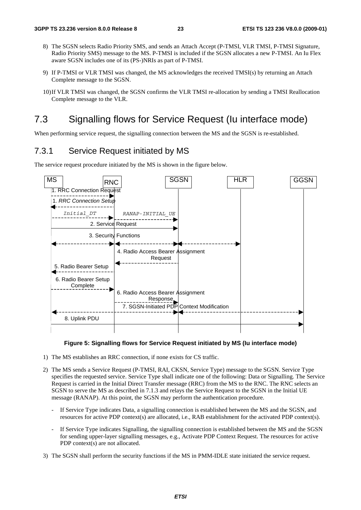- 8) The SGSN selects Radio Priority SMS, and sends an Attach Accept (P-TMSI, VLR TMSI, P-TMSI Signature, Radio Priority SMS) message to the MS. P-TMSI is included if the SGSN allocates a new P-TMSI. An Iu Flex aware SGSN includes one of its (PS-)NRIs as part of P-TMSI.
- 9) If P-TMSI or VLR TMSI was changed, the MS acknowledges the received TMSI(s) by returning an Attach Complete message to the SGSN.
- 10) If VLR TMSI was changed, the SGSN confirms the VLR TMSI re-allocation by sending a TMSI Reallocation Complete message to the VLR.

## 7.3 Signalling flows for Service Request (Iu interface mode)

When performing service request, the signalling connection between the MS and the SGSN is re-established.

#### 7.3.1 Service Request initiated by MS

The service request procedure initiated by the MS is shown in the figure below.



#### **Figure 5: Signalling flows for Service Request initiated by MS (Iu interface mode)**

- 1) The MS establishes an RRC connection, if none exists for CS traffic.
- 2) The MS sends a Service Request (P-TMSI, RAI, CKSN, Service Type) message to the SGSN. Service Type specifies the requested service. Service Type shall indicate one of the following: Data or Signalling. The Service Request is carried in the Initial Direct Transfer message (RRC) from the MS to the RNC. The RNC selects an SGSN to serve the MS as described in 7.1.3 and relays the Service Request to the SGSN in the Initial UE message (RANAP). At this point, the SGSN may perform the authentication procedure.
	- If Service Type indicates Data, a signalling connection is established between the MS and the SGSN, and resources for active PDP context(s) are allocated, i.e., RAB establishment for the activated PDP context(s).
	- If Service Type indicates Signalling, the signalling connection is established between the MS and the SGSN for sending upper-layer signalling messages, e.g., Activate PDP Context Request. The resources for active PDP context(s) are not allocated.
- 3) The SGSN shall perform the security functions if the MS in PMM-IDLE state initiated the service request.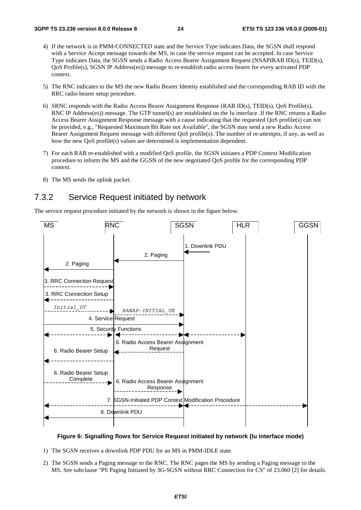- 4) If the network is in PMM-CONNECTED state and the Service Type indicates Data, the SGSN shall respond with a Service Accept message towards the MS, in case the service request can be accepted. In case Service Type indicates Data, the SGSN sends a Radio Access Bearer Assignment Request (NSAPIRAB ID(s), TEID(s), QoS Profile(s), SGSN IP Address(es)) message to re-establish radio access bearer for every activated PDP context.
- 5) The RNC indicates to the MS the new Radio Bearer Identity established and the corresponding RAB ID with the RRC radio bearer setup procedure.
- 6) SRNC responds with the Radio Access Bearer Assignment Response (RAB ID(s), TEID(s), QoS Profile(s), RNC IP Address(es)) message. The GTP tunnel(s) are established on the Iu interface. If the RNC returns a Radio Access Bearer Assignment Response message with a cause indicating that the requested QoS profile(s) can not be provided, e.g., "Requested Maximum Bit Rate not Available", the SGSN may send a new Radio Access Bearer Assignment Request message with different QoS profile(s). The number of re-attempts, if any, as well as how the new QoS profile(s) values are determined is implementation dependent.
- 7) For each RAB re-established with a modified QoS profile, the SGSN initiates a PDP Context Modification procedure to inform the MS and the GGSN of the new negotiated QoS profile for the corresponding PDP context.
- 8) The MS sends the uplink packet.

#### 7.3.2 Service Request initiated by network

The service request procedure initiated by the network is shown in the figure below.



#### **Figure 6: Signalling flows for Service Request initiated by network (Iu interface mode)**

- 1) The SGSN receives a downlink PDP PDU for an MS in PMM-IDLE state.
- 2) The SGSN sends a Paging message to the RNC. The RNC pages the MS by sending a Paging message to the MS. See subclause "PS Paging Initiated by 3G-SGSN without RRC Connection for CS" of 23.060 [2] for details.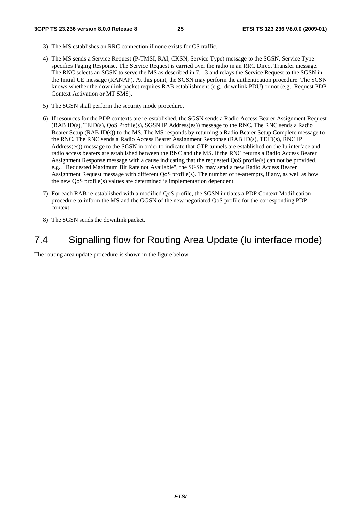- 3) The MS establishes an RRC connection if none exists for CS traffic.
- 4) The MS sends a Service Request (P-TMSI, RAI, CKSN, Service Type) message to the SGSN. Service Type specifies Paging Response. The Service Request is carried over the radio in an RRC Direct Transfer message. The RNC selects an SGSN to serve the MS as described in 7.1.3 and relays the Service Request to the SGSN in the Initial UE message (RANAP). At this point, the SGSN may perform the authentication procedure. The SGSN knows whether the downlink packet requires RAB establishment (e.g., downlink PDU) or not (e.g., Request PDP Context Activation or MT SMS).
- 5) The SGSN shall perform the security mode procedure.
- 6) If resources for the PDP contexts are re-established, the SGSN sends a Radio Access Bearer Assignment Request (RAB ID(s), TEID(s), QoS Profile(s), SGSN IP Address(es)) message to the RNC. The RNC sends a Radio Bearer Setup (RAB ID(s)) to the MS. The MS responds by returning a Radio Bearer Setup Complete message to the RNC. The RNC sends a Radio Access Bearer Assignment Response (RAB ID(s), TEID(s), RNC IP Address(es)) message to the SGSN in order to indicate that GTP tunnels are established on the Iu interface and radio access bearers are established between the RNC and the MS. If the RNC returns a Radio Access Bearer Assignment Response message with a cause indicating that the requested QoS profile(s) can not be provided, e.g., "Requested Maximum Bit Rate not Available", the SGSN may send a new Radio Access Bearer Assignment Request message with different QoS profile(s). The number of re-attempts, if any, as well as how the new QoS profile(s) values are determined is implementation dependent.
- 7) For each RAB re-established with a modified QoS profile, the SGSN initiates a PDP Context Modification procedure to inform the MS and the GGSN of the new negotiated QoS profile for the corresponding PDP context.
- 8) The SGSN sends the downlink packet.

### 7.4 Signalling flow for Routing Area Update (Iu interface mode)

The routing area update procedure is shown in the figure below.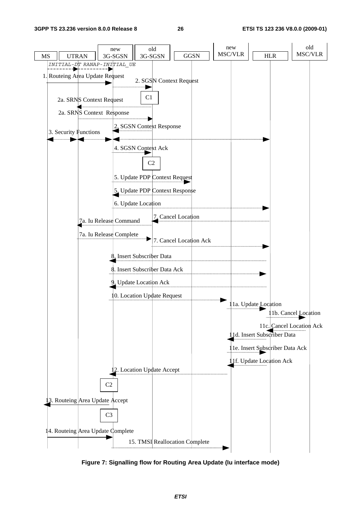

**Figure 7: Signalling flow for Routing Area Update (Iu interface mode)**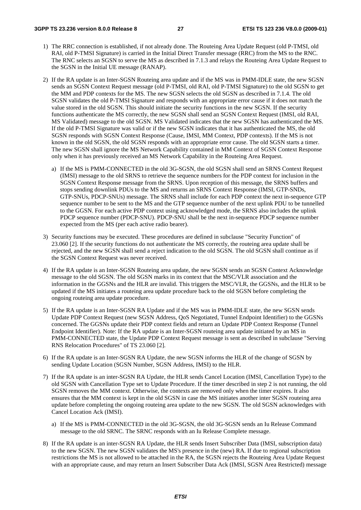- 1) The RRC connection is established, if not already done. The Routeing Area Update Request (old P-TMSI, old RAI, old P-TMSI Signature) is carried in the Initial Direct Transfer message (RRC) from the MS to the RNC. The RNC selects an SGSN to serve the MS as described in 7.1.3 and relays the Routeing Area Update Request to the SGSN in the Initial UE message (RANAP).
- 2) If the RA update is an Inter-SGSN Routeing area update and if the MS was in PMM-IDLE state, the new SGSN sends an SGSN Context Request message (old P-TMSI, old RAI, old P-TMSI Signature) to the old SGSN to get the MM and PDP contexts for the MS. The new SGSN selects the old SGSN as described in 7.1.4. The old SGSN validates the old P-TMSI Signature and responds with an appropriate error cause if it does not match the value stored in the old SGSN. This should initiate the security functions in the new SGSN. If the security functions authenticate the MS correctly, the new SGSN shall send an SGSN Context Request (IMSI, old RAI, MS Validated) message to the old SGSN. MS Validated indicates that the new SGSN has authenticated the MS. If the old P-TMSI Signature was valid or if the new SGSN indicates that it has authenticated the MS, the old SGSN responds with SGSN Context Response (Cause, IMSI, MM Context, PDP contexts). If the MS is not known in the old SGSN, the old SGSN responds with an appropriate error cause. The old SGSN starts a timer. The new SGSN shall ignore the MS Network Capability contained in MM Context of SGSN Context Response only when it has previously received an MS Network Capability in the Routeing Area Request.
	- a) If the MS is PMM-CONNECTED in the old 3G-SGSN, the old SGSN shall send an SRNS Context Request (IMSI) message to the old SRNS to retrieve the sequence numbers for the PDP context for inclusion in the SGSN Context Response message from the SRNS. Upon reception of this message, the SRNS buffers and stops sending downlink PDUs to the MS and returns an SRNS Context Response (IMSI, GTP-SNDs, GTP-SNUs, PDCP-SNUs) message. The SRNS shall include for each PDP context the next in-sequence GTP sequence number to be sent to the MS and the GTP sequence number of the next uplink PDU to be tunnelled to the GGSN. For each active PDP context using acknowledged mode, the SRNS also includes the uplink PDCP sequence number (PDCP-SNU). PDCP-SNU shall be the next in-sequence PDCP sequence number expected from the MS (per each active radio bearer).
- 3) Security functions may be executed. These procedures are defined in subclause "Security Function" of 23.060 [2]. If the security functions do not authenticate the MS correctly, the routeing area update shall be rejected, and the new SGSN shall send a reject indication to the old SGSN. The old SGSN shall continue as if the SGSN Context Request was never received.
- 4) If the RA update is an Inter-SGSN Routeing area update, the new SGSN sends an SGSN Context Acknowledge message to the old SGSN. The old SGSN marks in its context that the MSC/VLR association and the information in the GGSNs and the HLR are invalid. This triggers the MSC/VLR, the GGSNs, and the HLR to be updated if the MS initiates a routeing area update procedure back to the old SGSN before completing the ongoing routeing area update procedure.
- 5) If the RA update is an Inter-SGSN RA Update and if the MS was in PMM-IDLE state, the new SGSN sends Update PDP Context Request (new SGSN Address, QoS Negotiated, Tunnel Endpoint Identifier) to the GGSNs concerned. The GGSNs update their PDP context fields and return an Update PDP Context Response (Tunnel Endpoint Identifier). Note: If the RA update is an Inter-SGSN routeing area update initiated by an MS in PMM-CONNECTED state, the Update PDP Context Request message is sent as described in subclause "Serving RNS Relocation Procedures" of TS 23.060 [2].
- 6) If the RA update is an Inter-SGSN RA Update, the new SGSN informs the HLR of the change of SGSN by sending Update Location (SGSN Number, SGSN Address, IMSI) to the HLR.
- 7) If the RA update is an inter-SGSN RA Update, the HLR sends Cancel Location (IMSI, Cancellation Type) to the old SGSN with Cancellation Type set to Update Procedure. If the timer described in step 2 is not running, the old SGSN removes the MM context. Otherwise, the contexts are removed only when the timer expires. It also ensures that the MM context is kept in the old SGSN in case the MS initiates another inter SGSN routeing area update before completing the ongoing routeing area update to the new SGSN. The old SGSN acknowledges with Cancel Location Ack (IMSI).
	- a) If the MS is PMM-CONNECTED in the old 3G-SGSN, the old 3G-SGSN sends an Iu Release Command message to the old SRNC. The SRNC responds with an Iu Release Complete message.
- 8) If the RA update is an inter-SGSN RA Update, the HLR sends Insert Subscriber Data (IMSI, subscription data) to the new SGSN. The new SGSN validates the MS's presence in the (new) RA. If due to regional subscription restrictions the MS is not allowed to be attached in the RA, the SGSN rejects the Routeing Area Update Request with an appropriate cause, and may return an Insert Subscriber Data Ack (IMSI, SGSN Area Restricted) message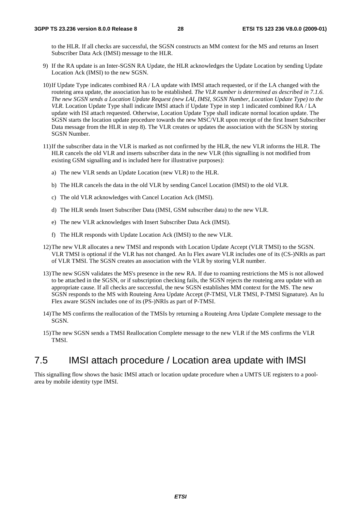to the HLR. If all checks are successful, the SGSN constructs an MM context for the MS and returns an Insert Subscriber Data Ack (IMSI) message to the HLR.

- 9) If the RA update is an Inter-SGSN RA Update, the HLR acknowledges the Update Location by sending Update Location Ack (IMSI) to the new SGSN.
- 10) If Update Type indicates combined RA / LA update with IMSI attach requested, or if the LA changed with the routeing area update, the association has to be established*. The VLR number is determined as described in 7.1.6. The new SGSN sends a Location Update Request (new LAI, IMSI, SGSN Number, Location Update Type) to the VLR.* Location Update Type shall indicate IMSI attach if Update Type in step 1 indicated combined RA / LA update with ISI attach requested. Otherwise, Location Update Type shall indicate normal location update. The SGSN starts the location update procedure towards the new MSC/VLR upon receipt of the first Insert Subscriber Data message from the HLR in step 8). The VLR creates or updates the association with the SGSN by storing SGSN Number.
- 11) If the subscriber data in the VLR is marked as not confirmed by the HLR, the new VLR informs the HLR. The HLR cancels the old VLR and inserts subscriber data in the new VLR (this signalling is not modified from existing GSM signalling and is included here for illustrative purposes):
	- a) The new VLR sends an Update Location (new VLR) to the HLR.
	- b) The HLR cancels the data in the old VLR by sending Cancel Location (IMSI) to the old VLR.
	- c) The old VLR acknowledges with Cancel Location Ack (IMSI).
	- d) The HLR sends Insert Subscriber Data (IMSI, GSM subscriber data) to the new VLR.
	- e) The new VLR acknowledges with Insert Subscriber Data Ack (IMSI).
	- f) The HLR responds with Update Location Ack (IMSI) to the new VLR.
- 12) The new VLR allocates a new TMSI and responds with Location Update Accept (VLR TMSI) to the SGSN. VLR TMSI is optional if the VLR has not changed. An Iu Flex aware VLR includes one of its (CS-)NRIs as part of VLR TMSI. The SGSN creates an association with the VLR by storing VLR number.
- 13) The new SGSN validates the MS's presence in the new RA. If due to roaming restrictions the MS is not allowed to be attached in the SGSN, or if subscription checking fails, the SGSN rejects the routeing area update with an appropriate cause. If all checks are successful, the new SGSN establishes MM context for the MS. The new SGSN responds to the MS with Routeing Area Update Accept (P-TMSI, VLR TMSI, P-TMSI Signature). An Iu Flex aware SGSN includes one of its (PS-)NRIs as part of P-TMSI.
- 14) The MS confirms the reallocation of the TMSIs by returning a Routeing Area Update Complete message to the SGSN.
- 15) The new SGSN sends a TMSI Reallocation Complete message to the new VLR if the MS confirms the VLR TMSI.

### 7.5 IMSI attach procedure / Location area update with IMSI

This signalling flow shows the basic IMSI attach or location update procedure when a UMTS UE registers to a poolarea by mobile identity type IMSI.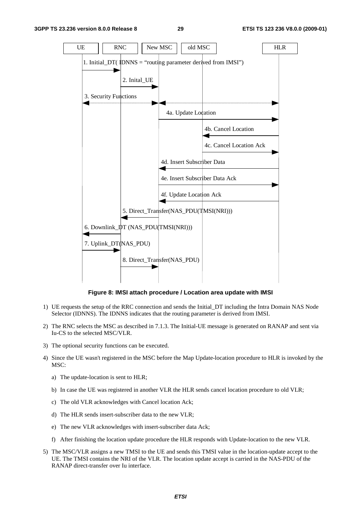

**Figure 8: IMSI attach procedure / Location area update with IMSI** 

- 1) UE requests the setup of the RRC connection and sends the Initial\_DT including the Intra Domain NAS Node Selector (IDNNS). The IDNNS indicates that the routing parameter is derived from IMSI.
- 2) The RNC selects the MSC as described in 7.1.3. The Initial-UE message is generated on RANAP and sent via Iu-CS to the selected MSC/VLR.
- 3) The optional security functions can be executed.
- 4) Since the UE wasn't registered in the MSC before the Map Update-location procedure to HLR is invoked by the MSC:
	- a) The update-location is sent to HLR;
	- b) In case the UE was registered in another VLR the HLR sends cancel location procedure to old VLR;
	- c) The old VLR acknowledges with Cancel location Ack;
	- d) The HLR sends insert-subscriber data to the new VLR;
	- e) The new VLR acknowledges with insert-subscriber data Ack;
	- f) After finishing the location update procedure the HLR responds with Update-location to the new VLR.
- 5) The MSC/VLR assigns a new TMSI to the UE and sends this TMSI value in the location-update accept to the UE. The TMSI contains the NRI of the VLR. The location update accept is carried in the NAS-PDU of the RANAP direct-transfer over Iu interface.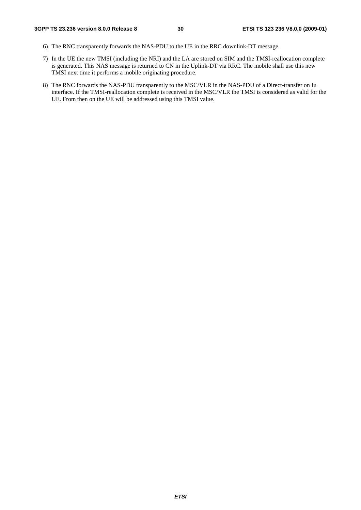- 6) The RNC transparently forwards the NAS-PDU to the UE in the RRC downlink-DT message.
- 7) In the UE the new TMSI (including the NRI) and the LA are stored on SIM and the TMSI-reallocation complete is generated. This NAS message is returned to CN in the Uplink-DT via RRC. The mobile shall use this new TMSI next time it performs a mobile originating procedure.
- 8) The RNC forwards the NAS-PDU transparently to the MSC/VLR in the NAS-PDU of a Direct-transfer on Iu interface. If the TMSI-reallocation complete is received in the MSC/VLR the TMSI is considered as valid for the UE. From then on the UE will be addressed using this TMSI value.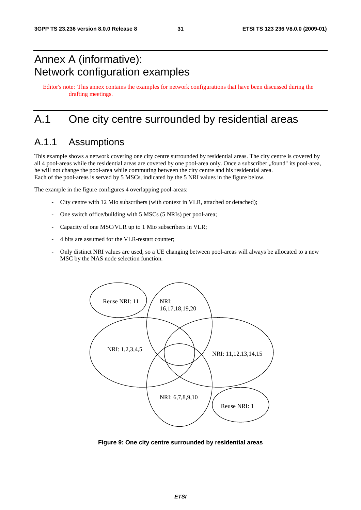## Annex A (informative): Network configuration examples

Editor's note: This annex contains the examples for network configurations that have been discussed during the drafting meetings.

## A.1 One city centre surrounded by residential areas

### A.1.1 Assumptions

This example shows a network covering one city centre surrounded by residential areas. The city centre is covered by all 4 pool-areas while the residential areas are covered by one pool-area only. Once a subscriber "found" its pool-area, he will not change the pool-area while commuting between the city centre and his residential area. Each of the pool-areas is served by 5 MSCs, indicated by the 5 NRI values in the figure below.

The example in the figure configures 4 overlapping pool-areas:

- City centre with 12 Mio subscribers (with context in VLR, attached or detached);
- One switch office/building with 5 MSCs (5 NRIs) per pool-area;
- Capacity of one MSC/VLR up to 1 Mio subscribers in VLR;
- 4 bits are assumed for the VLR-restart counter;
- Only distinct NRI values are used, so a UE changing between pool-areas will always be allocated to a new MSC by the NAS node selection function.



**Figure 9: One city centre surrounded by residential areas**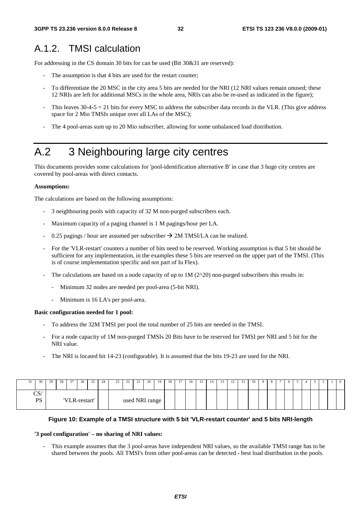## A.1.2. TMSI calculation

For addressing in the CS domain 30 bits for can be used (Bit 30&31 are reserved):

- The assumption is that 4 bits are used for the restart counter;
- To differentiate the 20 MSC in the city area 5 bits are needed for the NRI (12 NRI values remain unused; these 12 NRIs are left for additional MSCs in the whole area, NRIs can also be re-used as indicated in the figure);
- This leaves  $30-4-5 = 21$  bits for every MSC to address the subscriber data records in the VLR. (This give address space for 2 Mio TMSIs unique over all LAs of the MSC);
- The 4 pool-areas sum up to 20 Mio subscriber, allowing for some unbalanced load distribution.

## A.2 3 Neighbouring large city centres

This documents provides some calculations for 'pool-identification alternative B' in case that 3 huge city centres are covered by pool-areas with direct contacts.

#### **Assumptions:**

The calculations are based on the following assumptions:

- 3 neighbouring pools with capacity of 32 M non-purged subscribers each.
- Maximum capacity of a paging channel is 1 M pagings/hour per LA.
- 0.25 pagings / hour are assumed per subscriber  $\rightarrow$  2M TMSI/LA can be realized.
- For the 'VLR-restart' counters a number of bits need to be reserved. Working assumption is that 5 bit should be sufficient for any implementation, in the examples these 5 bits are reserved on the upper part of the TMSI. (This is of course implementation specific and not part of Iu Flex).
- The calculations are based on a node capacity of up to  $1M (2^2 20)$  non-purged subscribers this results in:
	- Minimum 32 nodes are needed per pool-area (5-bit NRI).
	- Minimum is 16 LA's per pool-area.

#### **Basic configuration needed for 1 pool:**

- To address the 32M TMSI per pool the total number of 25 bits are needed in the TMSI.
- For a node capacity of 1M non-purged TMSIs 20 Bits have to be reserved for TMSI per NRI and 5 bit for the NRI value.
- The NRI is located bit 14-23 (configurable). It is assumed that the bits 19-23 are used for the NRI.

| 30              | 29 | 28 | 27<br>$\sim$ | 26            | 25 | 24 | 23 | 22 | 21<br>$\sim$ 1 | 20             | 19 | 18 | 17 | 16 | 15 | 14 | 12 | -11 | 10 | $\Omega$ |  | 6 |  | ∸ | $\bf{0}$ |
|-----------------|----|----|--------------|---------------|----|----|----|----|----------------|----------------|----|----|----|----|----|----|----|-----|----|----------|--|---|--|---|----------|
| CS/<br>DC<br>rэ |    |    |              | 'VLR-restart' |    |    |    |    |                | used NRI range |    |    |    |    |    |    |    |     |    |          |  |   |  |   |          |

#### **Figure 10: Example of a TMSI structure with 5 bit 'VLR-restart counter' and 5 bits NRI-length**

#### **'3 pool configuration' – no sharing of NRI values:**

This example assumes that the 3 pool-areas have independent NRI values, so the available TMSI range has to be shared between the pools. All TMSI's from other pool-areas can be detected - best load distribution in the pools.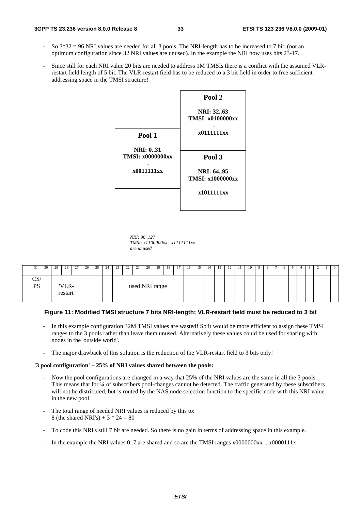#### **3GPP TS 23.236 version 8.0.0 Release 8 33 ETSI TS 123 236 V8.0.0 (2009-01)**

- So  $3*32 = 96$  NRI values are needed for all 3 pools. The NRI-length has to be increased to 7 bit. (not an optimum configuration since 32 NRI values are unused). In the example the NRI now uses bits 23-17.
- Since still for each NRI value 20 bits are needed to address 1M TMSIs there is a conflict with the assumed VLRrestart field length of 5 bit. The VLR-restart field has to be reduced to a 3 bit field in order to free sufficient addressing space in the TMSI structure!

|                                             | Pool 2                                      |
|---------------------------------------------|---------------------------------------------|
|                                             | <b>NRI: 3263</b><br><b>TMSI: x0100000xx</b> |
| Pool 1                                      | x0111111xx                                  |
| <b>NRI</b> : 031<br><b>TMSI: x0000000xx</b> | Pool 3                                      |
| x0011111xx                                  | NRI: 6495<br><b>TMSI: x1000000xx</b>        |
|                                             | x1011111xx                                  |

*NRI: 96..127 TMSI: x1100000xx - x1111111xx are unused* 

|                                            | 30 | 29 | 28                | 27 | 26 | 25.<br>-- | 24 | 23 | 22 | 21             | 20 | 19 | 18 | 17 | 16 | 15 | 14 | <br>12 | -11 | 10 | -9 |  | 6 |  | ∠ | 0 |
|--------------------------------------------|----|----|-------------------|----|----|-----------|----|----|----|----------------|----|----|----|----|----|----|----|--------|-----|----|----|--|---|--|---|---|
| $\mathrm{CS}\!\!\!\backslash$<br><b>PS</b> |    |    | 'VLR-<br>restart' |    |    |           |    |    |    | used NRI range |    |    |    |    |    |    |    |        |     |    |    |  |   |  |   |   |

#### **Figure 11: Modified TMSI structure 7 bits NRI-length; VLR-restart field must be reduced to 3 bit**

- In this example configuration 32M TMSI values are wasted! So it would be more efficient to assign these TMSI ranges to the 3 pools rather than leave them unused. Alternatively these values could be used for sharing with nodes in the 'outside world'.
- The major drawback of this solution is the reduction of the VLR-restart field to 3 bits only!

#### **'3 pool configuration' – 25% of NRI values shared between the pools:**

- Now the pool configurations are changed in a way that 25% of the NRI values are the same in all the 3 pools. This means that for ¼ of subscribers pool-changes cannot be detected. The traffic generated by these subscribers will not be distributed, but is routed by the NAS node selection function to the specific node with this NRI value in the new pool.
- The total range of needed NRI values is reduced by this to: 8 (the shared NRI's) +  $3 * 24 = 80$
- To code this NRI's still 7 bit are needed. So there is no gain in terms of addressing space in this example.
- In the example the NRI values 0..7 are shared and so are the TMSI ranges  $x00000000x$  ...  $x0000111x$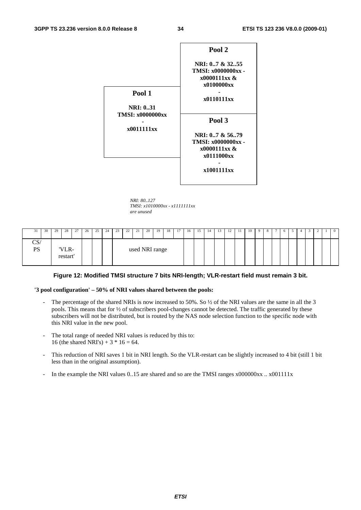

*NRI: 80..127 TMSI: x1010000xx - x1111111xx are unused* 

| 31        | 30 | 29 | 28                | 27 | 26 | 25 | 24 | 23 | 22 | 21             | 20 | 19 | 18 | 17 | 16 | 15 | 14 | 13 | 12 | -1.1 | 10 | -9 | 8 | $6-1$ | 4 |  | $\overline{0}$ |
|-----------|----|----|-------------------|----|----|----|----|----|----|----------------|----|----|----|----|----|----|----|----|----|------|----|----|---|-------|---|--|----------------|
| CS/<br>PS |    |    | 'VLR-<br>restart' |    |    |    |    |    |    | used NRI range |    |    |    |    |    |    |    |    |    |      |    |    |   |       |   |  |                |

#### **Figure 12: Modified TMSI structure 7 bits NRI-length; VLR-restart field must remain 3 bit.**

#### **'3 pool configuration' – 50% of NRI values shared between the pools:**

- The percentage of the shared NRIs is now increased to 50%. So  $\frac{1}{2}$  of the NRI values are the same in all the 3 pools. This means that for ½ of subscribers pool-changes cannot be detected. The traffic generated by these subscribers will not be distributed, but is routed by the NAS node selection function to the specific node with this NRI value in the new pool.
- The total range of needed NRI values is reduced by this to: 16 (the shared NRI's) +  $3 * 16 = 64$ .
- This reduction of NRI saves 1 bit in NRI length. So the VLR-restart can be slightly increased to 4 bit (still 1 bit less than in the original assumption).
- In the example the NRI values 0..15 are shared and so are the TMSI ranges x000000xx .. x001111x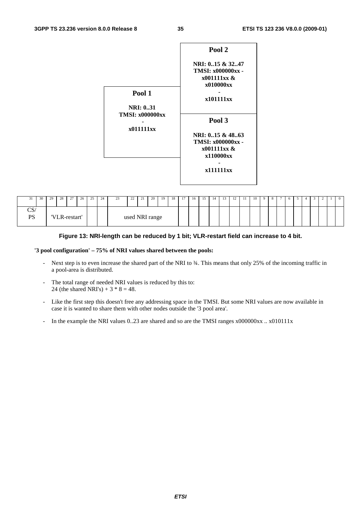

| - 1                        | 30 | 29 | 28 | 27            | 26 | 25 | 24 | 23 | $\gamma$<br>∠∠ | 21<br>$\sim$ 1 | 20 | 19 | 18 | 17 | 16 | 15 | 14 | 13 | 12 | -11 | 10 | - 9 |  | 6 |  |  | $\overline{0}$ |
|----------------------------|----|----|----|---------------|----|----|----|----|----------------|----------------|----|----|----|----|----|----|----|----|----|-----|----|-----|--|---|--|--|----------------|
| $\sim$<br>∕دب<br><b>PS</b> |    |    |    | 'VLR-restart' |    |    |    |    |                | used NRI range |    |    |    |    |    |    |    |    |    |     |    |     |  |   |  |  |                |

#### **Figure 13: NRI-length can be reduced by 1 bit; VLR-restart field can increase to 4 bit.**

#### **'3 pool configuration' – 75% of NRI values shared between the pools:**

- Next step is to even increase the shared part of the NRI to ¾. This means that only 25% of the incoming traffic in a pool-area is distributed.
- The total range of needed NRI values is reduced by this to: 24 (the shared NRI's) +  $3 * 8 = 48$ .
- Like the first step this doesn't free any addressing space in the TMSI. But some NRI values are now available in case it is wanted to share them with other nodes outside the '3 pool area'.
- In the example the NRI values 0..23 are shared and so are the TMSI ranges  $x0000000xx$  ..  $x010111x$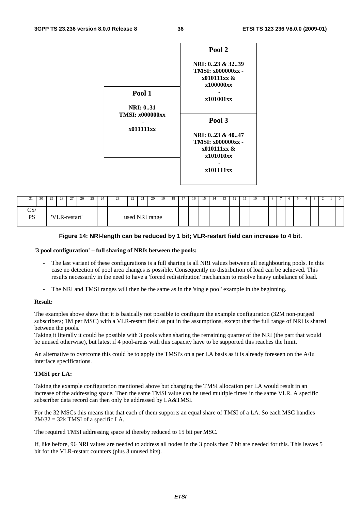

| - 1              | 30 | 29 | 28 | 27<br><u>.</u> | 26 | 25 | 24 | $\sim$<br>رے | 22 | 21             | 20 | -19 | 18 | 17 | 16 | 15 | 14 | 13 |  | 10 | -8 | $\circ$ | $\leftarrow$ | <u>.</u> | - 0 |
|------------------|----|----|----|----------------|----|----|----|--------------|----|----------------|----|-----|----|----|----|----|----|----|--|----|----|---------|--------------|----------|-----|
| CS/<br><b>PS</b> |    |    |    | 'VLR-restart'  |    |    |    |              |    | used NRI range |    |     |    |    |    |    |    |    |  |    |    |         |              |          |     |

#### **Figure 14: NRI-length can be reduced by 1 bit; VLR-restart field can increase to 4 bit.**

#### **'3 pool configuration' – full sharing of NRIs between the pools:**

- The last variant of these configurations is a full sharing is all NRI values between all neighbouring pools. In this case no detection of pool area changes is possible. Consequently no distribution of load can be achieved. This results necessarily in the need to have a 'forced redistribution' mechanism to resolve heavy unbalance of load.
- The NRI and TMSI ranges will then be the same as in the 'single pool' example in the beginning.

#### **Result:**

The examples above show that it is basically not possible to configure the example configuration (32M non-purged subscribers; 1M per MSC) with a VLR-restart field as put in the assumptions, except that the full range of NRI is shared between the pools.

Taking it literally it could be possible with 3 pools when sharing the remaining quarter of the NRI (the part that would be unused otherwise), but latest if 4 pool-areas with this capacity have to be supported this reaches the limit.

An alternative to overcome this could be to apply the TMSI's on a per LA basis as it is already foreseen on the A/Iu interface specifications.

#### **TMSI per LA:**

Taking the example configuration mentioned above but changing the TMSI allocation per LA would result in an increase of the addressing space. Then the same TMSI value can be used multiple times in the same VLR. A specific subscriber data record can then only be addressed by LA&TMSI.

For the 32 MSCs this means that that each of them supports an equal share of TMSI of a LA. So each MSC handles  $2M/32 = 32k$  TMSI of a specific LA.

The required TMSI addressing space id thereby reduced to 15 bit per MSC.

If, like before, 96 NRI values are needed to address all nodes in the 3 pools then 7 bit are needed for this. This leaves 5 bit for the VLR-restart counters (plus 3 unused bits).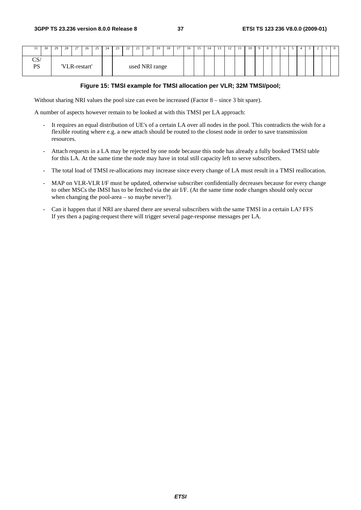| 30                         | 29 | 28 l          | 27 | 26 | 25 <sup>1</sup> | 24 | 23 | 22 | 21             | 20 l | 19 | 18 | 17 | 16 | 15 | 14 | 13 | 12 | 11 | 10 l | 9 <sup>1</sup> | 8 | $\sigma$ |  |  | $\mathbf{0}$ |
|----------------------------|----|---------------|----|----|-----------------|----|----|----|----------------|------|----|----|----|----|----|----|----|----|----|------|----------------|---|----------|--|--|--------------|
| $\sim$<br>CS/<br><b>PS</b> |    | 'VLR-restart' |    |    |                 |    |    |    | used NRI range |      |    |    |    |    |    |    |    |    |    |      |                |   |          |  |  |              |

#### **Figure 15: TMSI example for TMSI allocation per VLR; 32M TMSI/pool;**

Without sharing NRI values the pool size can even be increased (Factor 8 – since 3 bit spare).

A number of aspects however remain to be looked at with this TMSI per LA approach:

- It requires an equal distribution of UE's of a certain LA over all nodes in the pool. This contradicts the wish for a flexible routing where e.g. a new attach should be routed to the closest node in order to save transmission resources.
- Attach requests in a LA may be rejected by one node because this node has already a fully booked TMSI table for this LA. At the same time the node may have in total still capacity left to serve subscribers.
- The total load of TMSI re-allocations may increase since every change of LA must result in a TMSI reallocation.
- MAP on VLR-VLR I/F must be updated, otherwise subscriber confidentially decreases because for every change to other MSCs the IMSI has to be fetched via the air I/F. (At the same time node changes should only occur when changing the pool-area – so maybe never?).
- Can it happen that if NRI are shared there are several subscribers with the same TMSI in a certain LA? FFS If yes then a paging-request there will trigger several page-response messages per LA.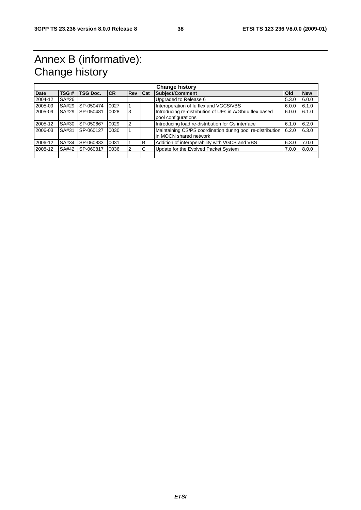## Annex B (informative): Change history

| <b>Change history</b> |       |                  |            |                |   |                                                                                      |            |            |
|-----------------------|-------|------------------|------------|----------------|---|--------------------------------------------------------------------------------------|------------|------------|
| <b>Date</b>           | TSG#  | TSG Doc.         | <b>ICR</b> | <b>Rev Cat</b> |   | Subject/Comment                                                                      | <b>Old</b> | <b>New</b> |
| 2004-12               | SA#26 |                  |            |                |   | Upgraded to Release 6                                                                | 5.3.0      | 6.0.0      |
| 2005-09               | SA#29 | SP-050474        | 0027       |                |   | Interoperation of Iu flex and VGCS/VBS                                               | 6.0.0      | 6.1.0      |
| 2005-09               | SA#29 | <b>SP-050481</b> | 0028       | 3              |   | Introducing re-distribution of UEs in A/Gb/Iu flex based<br>pool configurations      | 6.0.0      | 6.1.0      |
| 2005-12               | SA#30 | SP-050667        | 0029       | 2              |   | Introducing load re-distribution for Gs interface                                    | 6.1.0      | 6.2.0      |
| 2006-03               | SA#31 | SP-060127        | 0030       |                |   | Maintaining CS/PS coordination during pool re-distribution<br>in MOCN shared network | 6.2.0      | 6.3.0      |
| 2006-12               | SA#34 | SP-060833        | 0031       |                | B | Addition of interoperability with VGCS and VBS                                       | 6.3.0      | 7.0.0      |
| 2008-12               | SA#42 | SP-060817        | 0036       |                | C | Update for the Evolved Packet System                                                 | 7.0.0      | 8.0.0      |
|                       |       |                  |            |                |   |                                                                                      |            |            |